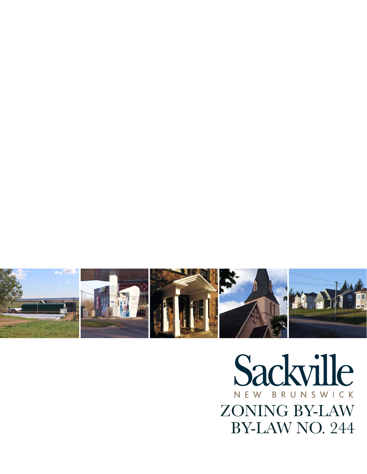

# Sackville NEW BRUNSWICK ZONING BY-LAW BY-LAW NO. 244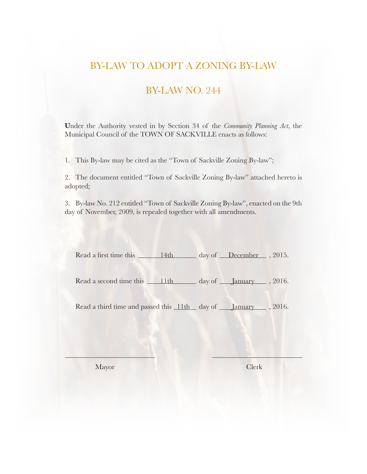## BY-LAW TO ADOPT A ZONING BY-LAW

## BY-LAW NO. 244

**U**nder the Authority vested in by Section 34 of the *Community Planning Act*, the Municipal Council of the TOWN OF SACKVILLE enacts as follows:

1. This By-law may be cited as the "Town of Sackville Zoning By-law";

2. The document entitled "Town of Sackville Zoning By-law" attached hereto is adopted;

3. By-law No. 212 entitled "Town of Sackville Zoning By-law", enacted on the 9th day of November, 2009, is repealed together with all amendments.

| Read a first time this | 14th | day of December , 2015. |  |
|------------------------|------|-------------------------|--|
|                        |      |                         |  |

Read a second time this 11th day of January , 2016.

Read a third time and passed this 11th day of January , 2016.

Mayor Clerk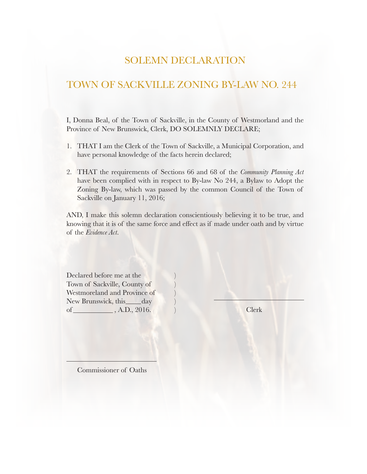## SOLEMN DECLARATION

## TOWN OF SACKVILLE ZONING BY-LAW NO. 244

I, Donna Beal, of the Town of Sackville, in the County of Westmorland and the Province of New Brunswick, Clerk, DO SOLEMNLY DECLARE;

- 1. THAT I am the Clerk of the Town of Sackville, a Municipal Corporation, and have personal knowledge of the facts herein declared;
- 2. THAT the requirements of Sections 66 and 68 of the *Community Planning Act* have been complied with in respect to By-law No 244, a Bylaw to Adopt the Zoning By-law, which was passed by the common Council of the Town of Sackville on January 11, 2016;

AND, I make this solemn declaration conscientiously believing it to be true, and knowing that it is of the same force and effect as if made under oath and by virtue of the *Evidence Act*.

Declared before me at the Town of Sackville, County of ) Westmoreland and Province of New Brunswick, this \_\_\_\_\_ day of \_\_\_\_\_\_\_\_\_\_\_\_\_, A.D., 2016. ) Clerk

Commissioner of Oaths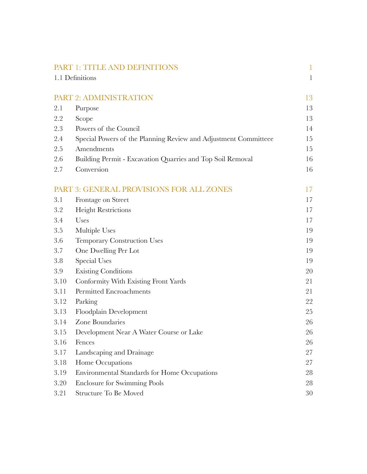|      | PART 1: TITLE AND DEFINITIONS                                   | 1            |
|------|-----------------------------------------------------------------|--------------|
|      | 1.1 Definitions                                                 | $\mathbf{1}$ |
|      |                                                                 |              |
|      | PART 2: ADMINISTRATION                                          | 13           |
| 2.1  | Purpose                                                         | 13           |
| 2.2  | Scope                                                           | 13           |
| 2.3  | Powers of the Council                                           | 14           |
| 2.4  | Special Powers of the Planning Review and Adjustment Committeee | 15           |
| 2.5  | Amendments                                                      | 15           |
| 2.6  | Building Permit - Excavation Quarries and Top Soil Removal      | 16           |
| 2.7  | Conversion                                                      | 16           |
|      | PART 3: GENERAL PROVISIONS FOR ALL ZONES                        | 17           |
| 3.1  | Frontage on Street                                              | 17           |
| 3.2  | <b>Height Restrictions</b>                                      | 17           |
| 3.4  | Uses                                                            | 17           |
| 3.5  | Multiple Uses                                                   | 19           |
| 3.6  | <b>Temporary Construction Uses</b>                              | 19           |
| 3.7  | One Dwelling Per Lot                                            | 19           |
| 3.8  | <b>Special Uses</b>                                             | 19           |
| 3.9  | <b>Existing Conditions</b>                                      | 20           |
| 3.10 | Conformity With Existing Front Yards                            | 21           |
| 3.11 | Permitted Encroachments                                         | 21           |
| 3.12 | Parking                                                         | 22           |
| 3.13 | Floodplain Development                                          | 25           |
| 3.14 | Zone Boundaries                                                 | 26           |
| 3.15 | Development Near A Water Course or Lake                         | 26           |
| 3.16 | Fences                                                          | 26           |
| 3.17 | Landscaping and Drainage                                        | 27           |
| 3.18 | Home Occupations                                                | 27           |
| 3.19 | Environmental Standards for Home Occupations                    | 28           |
| 3.20 | <b>Enclosure for Swimming Pools</b>                             | 28           |
| 3.21 | Structure To Be Moved                                           | 30           |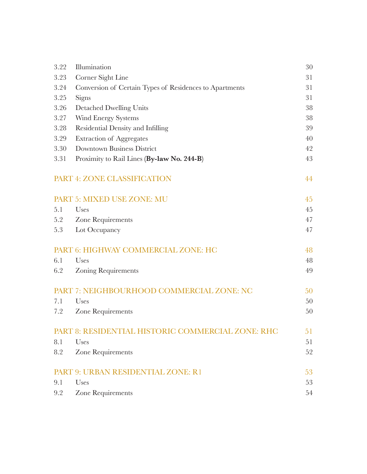| 3.22 | Illumination                                            | 30 |
|------|---------------------------------------------------------|----|
| 3.23 | Corner Sight Line                                       | 31 |
| 3.24 | Conversion of Certain Types of Residences to Apartments | 31 |
| 3.25 | Signs                                                   | 31 |
| 3.26 | Detached Dwelling Units                                 | 38 |
| 3.27 | Wind Energy Systems                                     | 38 |
| 3.28 | Residential Density and Infilling                       | 39 |
| 3.29 | <b>Extraction of Aggregates</b>                         | 40 |
| 3.30 | <b>Downtown Business District</b>                       | 42 |
| 3.31 | Proximity to Rail Lines (By-law No. 244-B)              | 43 |
|      | PART 4: ZONE CLASSIFICATION                             | 44 |
|      | PART 5: MIXED USE ZONE: MU                              | 45 |
| 5.1  | Uses                                                    | 45 |
| 5.2  | Zone Requirements                                       | 47 |
| 5.3  | Lot Occupancy                                           | 47 |
|      | PART 6: HIGHWAY COMMERCIAL ZONE: HC                     | 48 |
| 6.1  | Uses                                                    | 48 |
| 6.2  | <b>Zoning Requirements</b>                              | 49 |
|      | PART 7: NEIGHBOURHOOD COMMERCIAL ZONE: NC               | 50 |
| 7.1  | Uses                                                    | 50 |
| 7.2  | Zone Requirements                                       | 50 |
|      | PART 8: RESIDENTIAL HISTORIC COMMERCIAL ZONE: RHC       | 51 |
| 8.1  | Uses                                                    | 51 |
| 8.2  | Zone Requirements                                       | 52 |
|      | PART 9: URBAN RESIDENTIAL ZONE: R1                      | 53 |
| 9.1  | Uses                                                    | 53 |
| 9.2  | <b>Zone Requirements</b>                                | 54 |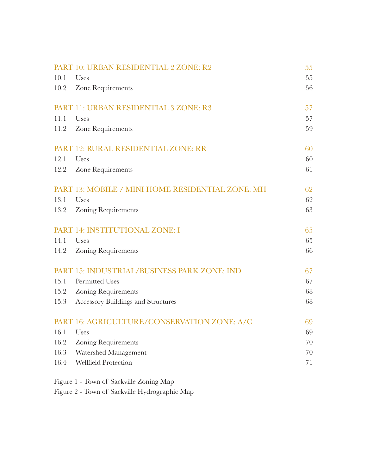|             | PART 10: URBAN RESIDENTIAL 2 ZONE: R2            | 55 |
|-------------|--------------------------------------------------|----|
| 10.1        | Uses                                             | 55 |
| 10.2        | Zone Requirements                                | 56 |
|             | PART 11: URBAN RESIDENTIAL 3 ZONE: R3            | 57 |
| 11.1        | Uses                                             | 57 |
| 11.2        | Zone Requirements                                | 59 |
|             | PART 12: RURAL RESIDENTIAL ZONE: RR              | 60 |
| 12.1        | Uses                                             | 60 |
| 12.2        | Zone Requirements                                | 61 |
|             | PART 13: MOBILE / MINI HOME RESIDENTIAL ZONE: MH | 62 |
| 13.1        | Uses                                             | 62 |
| 13.2        | <b>Zoning Requirements</b>                       | 63 |
|             | PART 14: INSTITUTIONAL ZONE: I                   | 65 |
| 14.1        | Uses                                             | 65 |
| 14.2        | <b>Zoning Requirements</b>                       | 66 |
|             | PART 15: INDUSTRIAL/BUSINESS PARK ZONE: IND      | 67 |
| 15.1        | <b>Permitted Uses</b>                            | 67 |
| 15.2        | <b>Zoning Requirements</b>                       | 68 |
| 15.3        | <b>Accessory Buildings and Structures</b>        | 68 |
|             | PART 16: AGRICULTURE/CONSERVATION ZONE: A/C      | 69 |
| $16.1$ Uses |                                                  | 69 |
| 16.2        | <b>Zoning Requirements</b>                       | 70 |
| 16.3        | Watershed Management                             | 70 |
| 16.4        | <b>Wellfield Protection</b>                      | 71 |
|             |                                                  |    |

Figure 1 - Town of Sackville Zoning Map

Figure 2 - Town of Sackville Hydrographic Map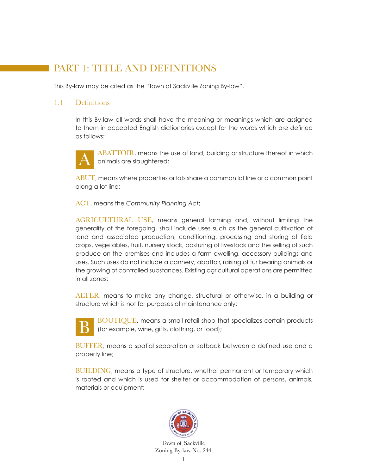# PART 1: TITLE AND DEFINITIONS

This By-law may be cited as the "Town of Sackville Zoning By-law".

#### 1.1 Definitions

 In this By-law all words shall have the meaning or meanings which are assigned to them in accepted English dictionaries except for the words which are defined as follows:



ABATTOIR, means the use of land, building or structure thereof in which animals are slaughtered;

ABUT, means where properties or lots share a common lot line or a common point along a lot line;

ACT, means the *Community Planning Act*;

 AGRICULTURAL USE, means general farming and, without limiting the generality of the foregoing, shall include uses such as the general cultivation of land and associated production, conditioning, processing and storing of field crops, vegetables, fruit, nursery stock, pasturing of livestock and the selling of such produce on the premises and includes a farm dwelling, accessory buildings and uses. Such uses do not include a cannery, abattoir, raising of fur bearing animals or the growing of controlled substances. Existing agricultural operations are permitted in all zones;

 ALTER, means to make any change, structural or otherwise, in a building or structure which is not for purposes of maintenance only;



 BOUTIQUE, means a small retail shop that specializes certain products (for example, wine, gifts, clothing, or food);

 BUFFER, means a spatial separation or setback between a defined use and a property line;

BUILDING, means a type of structure, whether permanent or temporary which is roofed and which is used for shelter or accommodation of persons, animals, materials or equipment;

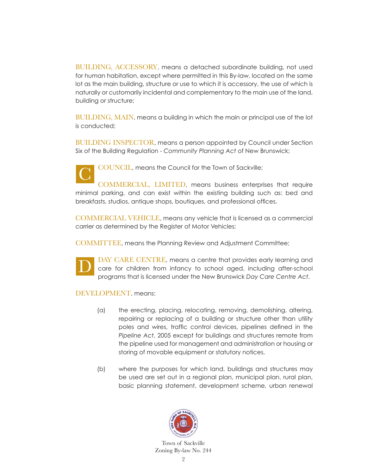BUILDING, ACCESSORY, means a detached subordinate building, not used for human habitation, except where permitted in this By-law, located on the same lot as the main building, structure or use to which it is accessory, the use of which is naturally or customarily incidental and complementary to the main use of the land, building or structure;

 BUILDING, MAIN, means a building in which the main or principal use of the lot is conducted;

BUILDING INSPECTOR, means a person appointed by Council under Section Six of the Building Regulation - *Community Planning Act* of New Brunswick;



COUNCIL, means the Council for the Town of Sackville;

 COMMERCIAL, LIMITED, means business enterprises that require minimal parking, and can exist within the existing building such as: bed and breakfasts, studios, antique shops, boutiques, and professional offices.

 COMMERCIAL VEHICLE, means any vehicle that is licensed as a commercial carrier as determined by the Register of Motor Vehicles;

COMMITTEE, means the Planning Review and Adjustment Committee;



 DAY CARE CENTRE, means a centre that provides early learning and care for children from infancy to school aged, including after-school programs that is licensed under the New Brunswick *Day Care Centre Act*.

DEVELOPMENT, means:

- (a) the erecting, placing, relocating, removing, demolishing, altering, repairing or replacing of a building or structure other than utility poles and wires, traffic control devices, pipelines defined in the *Pipeline Act*, 2005 except for buildings and structures remote from the pipeline used for management and administration or housing or storing of movable equipment or statutory notices,
- (b) where the purposes for which land, buildings and structures may be used are set out in a regional plan, municipal plan, rural plan, basic planning statement, development scheme, urban renewal

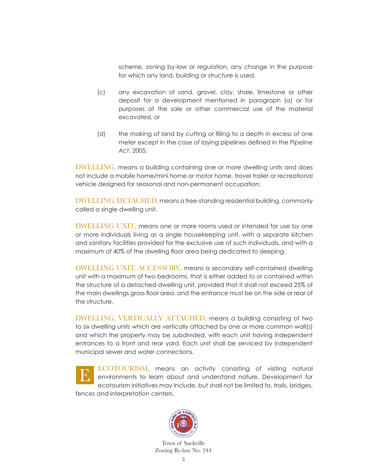scheme, zoning by-law or regulation, any change in the purpose for which any land, building or structure is used,

- (c) any excavation of sand, gravel, clay, shale, limestone or other deposit for a development mentioned in paragraph (a) or for purposes of the sale or other commercial use of the material excavated, or
- (d) the making of land by cutting or filling to a depth in excess of one meter except in the case of laying pipelines defined in the *Pipeline Act*, 2005;

 DWELLING, means a building containing one or more dwelling units and does not include a mobile home/mini home or motor home, travel trailer or recreational vehicle designed for seasonal and non-permanent occupation;

 DWELLING, DETACHED, means a free-standing residential building, commonly called a single dwelling unit.

 DWELLING UNIT, means one or more rooms used or intended for use by one or more individuals living as a single housekeeping unit, with a separate kitchen and sanitary facilities provided for the exclusive use of such individuals, and with a maximum of 40% of the dwelling floor area being dedicated to sleeping.

 DWELLING UNIT, ACCESSORY, means a secondary self-contained dwelling unit with a maximum of two bedrooms, that is either added to or contained within the structure of a detached dwelling unit, provided that it shall not exceed 25% of the main dwellings gross floor area, and the entrance must be on the side or rear of the structure.

 DWELLING, VERTICALLY ATTACHED, means a building consisting of two to six dwelling units which are vertically attached by one or more common wall(s) and which the property may be subdivided, with each unit having independent entrances to a front and rear yard. Each unit shall be serviced by independent municipal sewer and water connections.

ECOTOURISM, means an activity consisting of visiting natural environments to learn about and understand nature. Development for ecotourism initiatives may include, but shall not be limited to, trails, bridges, fences and interpretation centers. E

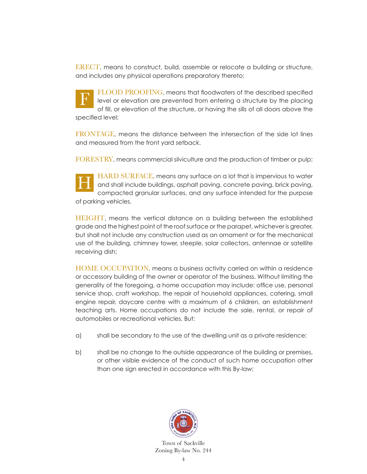ERECT, means to construct, build, assemble or relocate a building or structure, and includes any physical operations preparatory thereto;

FLOOD PROOFING, means that floodwaters of the described specified level or elevation are prevented from entering a structure by the placing of fill, or elevation of the structure, or having the sills of all doors above the specified level; F

 FRONTAGE, means the distance between the intersection of the side lot lines and measured from the front yard setback.

FORESTRY, means commercial silviculture and the production of timber or pulp;

HARD SURFACE, means any surface on a lot that is impervious to water and shall include buildings, asphalt paving, concrete paving, brick paving, compacted granular surfaces, and any surface intended for the purpose of parking vehicles. H

 HEIGHT, means the vertical distance on a building between the established grade and the highest point of the roof surface or the parapet, whichever is greater, but shall not include any construction used as an ornament or for the mechanical use of the building, chimney tower, steeple, solar collectors, antennae or satellite receiving dish;

 HOME OCCUPATION, means a business activity carried on within a residence or accessory building of the owner or operator of the business. Without limiting the generality of the foregoing, a home occupation may include: office use, personal service shop, craft workshop, the repair of household appliances, catering, small engine repair, daycare centre with a maximum of 6 children, an establishment teaching arts. Home occupations do not include the sale, rental, or repair of automobiles or recreational vehicles. But:

- a) shall be secondary to the use of the dwelling unit as a private residence;
- b) shall be no change to the outside appearance of the building or premises, or other visible evidence of the conduct of such home occupation other than one sign erected in accordance with this By-law;

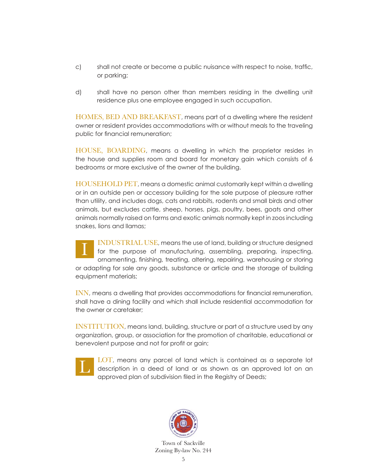- c) shall not create or become a public nuisance with respect to noise, traffic, or parking;
- d) shall have no person other than members residing in the dwelling unit residence plus one employee engaged in such occupation.

 HOMES, BED AND BREAKFAST, means part of a dwelling where the resident owner or resident provides accommodations with or without meals to the traveling public for financial remuneration;

 HOUSE, BOARDING, means a dwelling in which the proprietor resides in the house and supplies room and board for monetary gain which consists of 6 bedrooms or more exclusive of the owner of the building.

 HOUSEHOLD PET, means a domestic animal customarily kept within a dwelling or in an outside pen or accessory building for the sole purpose of pleasure rather than utility, and includes dogs, cats and rabbits, rodents and small birds and other animals, but excludes cattle, sheep, horses, pigs, poultry, bees, goats and other animals normally raised on farms and exotic animals normally kept in zoos including snakes, lions and llamas;

 INDUSTRIAL USE, means the use of land, building or structure designed for the purpose of manufacturing, assembling, preparing, inspecting, ornamenting, finishing, treating, altering, repairing, warehousing or storing or adapting for sale any goods, substance or article and the storage of building equipment materials; I

 INN, means a dwelling that provides accommodations for financial remuneration, shall have a dining facility and which shall include residential accommodation for the owner or caretaker;

 INSTITUTION, means land, building, structure or part of a structure used by any organization, group, or association for the promotion of charitable, educational or benevolent purpose and not for profit or gain;



 LOT, means any parcel of land which is contained as a separate lot description in a deed of land or as shown as an approved lot on an approved plan of subdivision filed in the Registry of Deeds;

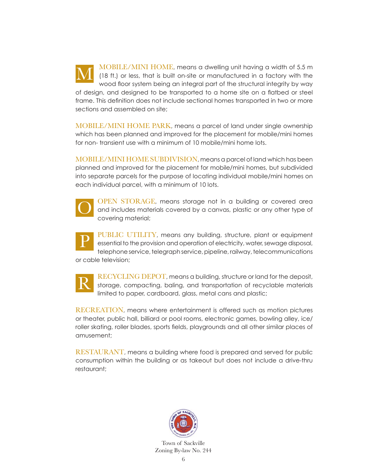MOBILE/MINI HOME, means a dwelling unit having a width of 5.5 m (18 ft.) or less, that is built on-site or manufactured in a factory with the wood floor system being an integral part of the structural integrity by way of design, and designed to be transported to a home site on a flatbed or steel frame. This definition does not include sectional homes transported in two or more sections and assembled on site; M

 MOBILE/MINI HOME PARK, means a parcel of land under single ownership which has been planned and improved for the placement for mobile/mini homes for non- transient use with a minimum of 10 mobile/mini home lots.

 MOBILE/MINI HOME SUBDIVISION, means a parcel of land which has been planned and improved for the placement for mobile/mini homes, but subdivided into separate parcels for the purpose of locating individual mobile/mini homes on each individual parcel, with a minimum of 10 lots.



 OPEN STORAGE, means storage not in a building or covered area and includes materials covered by a canvas, plastic or any other type of covering material;



PUBLIC UTILITY, means any building, structure, plant or equipment essential to the provision and operation of electricity, water, sewage disposal, telephone service, telegraph service, pipeline, railway, telecommunications

or cable television;



 RECYCLING DEPOT, means a building, structure or land for the deposit, storage, compacting, baling, and transportation of recyclable materials limited to paper, cardboard, glass, metal cans and plastic;

 RECREATION, means where entertainment is offered such as motion pictures or theater, public hall, billiard or pool rooms, electronic games, bowling alley, ice/ roller skating, roller blades, sports fields, playgrounds and all other similar places of amusement;

 RESTAURANT, means a building where food is prepared and served for public consumption within the building or as takeout but does not include a drive-thru restaurant;

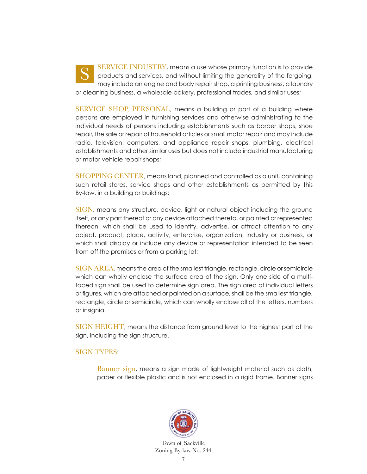SERVICE INDUSTRY, means a use whose primary function is to provide products and services, and without limiting the generality of the forgoing, may include an engine and body repair shop, a printing business, a laundry or cleaning business, a wholesale bakery, professional trades, and similar uses; S

 SERVICE SHOP, PERSONAL, means a building or part of a building where persons are employed in furnishing services and otherwise administrating to the individual needs of persons including establishments such as barber shops, shoe repair, the sale or repair of household articles or small motor repair and may include radio, television, computers, and appliance repair shops, plumbing, electrical establishments and other similar uses but does not include industrial manufacturing or motor vehicle repair shops;

 SHOPPING CENTER, means land, planned and controlled as a unit, containing such retail stores, service shops and other establishments as permitted by this By-law, in a building or buildings;

 SIGN, means any structure, device, light or natural object including the ground itself, or any part thereof or any device attached thereto, or painted or represented thereon, which shall be used to identify, advertise, or attract attention to any object, product, place, activity, enterprise, organization, industry or business, or which shall display or include any device or representation intended to be seen from off the premises or from a parking lot;

 SIGN AREA, means the area of the smallest triangle, rectangle, circle or semicircle which can wholly enclose the surface area of the sign. Only one side of a multifaced sign shall be used to determine sign area. The sign area of individual letters or figures, which are attached or painted on a surface, shall be the smallest triangle, rectangle, circle or semicircle, which can wholly enclose all of the letters, numbers or insignia.

 SIGN HEIGHT, means the distance from ground level to the highest part of the sign, including the sign structure.

#### SIGN TYPES:

 Banner sign, means a sign made of lightweight material such as cloth, paper or flexible plastic and is not enclosed in a rigid frame. Banner signs

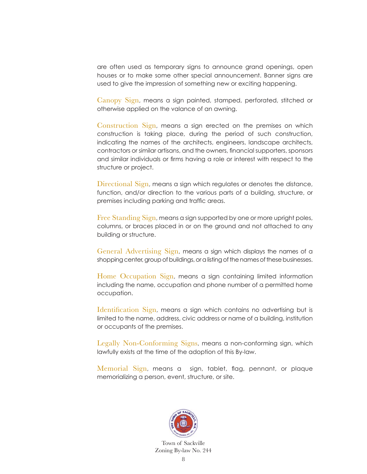are often used as temporary signs to announce grand openings, open houses or to make some other special announcement. Banner signs are used to give the impression of something new or exciting happening.

 Canopy Sign, means a sign painted, stamped, perforated, stitched or otherwise applied on the valance of an awning.

 Construction Sign, means a sign erected on the premises on which construction is taking place, during the period of such construction, indicating the names of the architects, engineers, landscape architects, contractors or similar artisans, and the owners, financial supporters, sponsors and similar individuals or firms having a role or interest with respect to the structure or project.

Directional Sign, means a sign which regulates or denotes the distance, function, and/or direction to the various parts of a building, structure, or premises including parking and traffic areas.

 Free Standing Sign, means a sign supported by one or more upright poles, columns, or braces placed in or on the ground and not attached to any building or structure.

 General Advertising Sign, means a sign which displays the names of a shopping center, group of buildings, or a listing of the names of these businesses.

 Home Occupation Sign, means a sign containing limited information including the name, occupation and phone number of a permitted home occupation.

Identification Sign, means a sign which contains no advertising but is limited to the name, address, civic address or name of a building, institution or occupants of the premises.

 Legally Non-Conforming Signs, means a non-conforming sign, which lawfully exists at the time of the adoption of this By-law.

 Memorial Sign, means a sign, tablet, flag, pennant, or plaque memorializing a person, event, structure, or site.

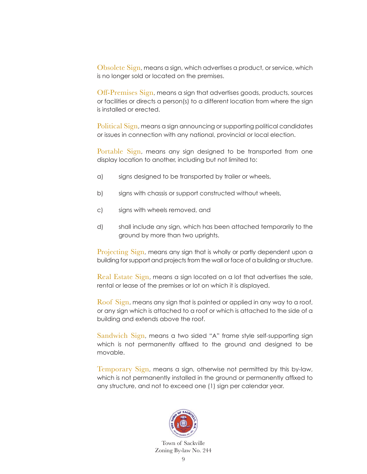Obsolete Sign, means a sign, which advertises a product, or service, which is no longer sold or located on the premises.

 Off-Premises Sign, means a sign that advertises goods, products, sources or facilities or directs a person(s) to a different location from where the sign is installed or erected.

 Political Sign, means a sign announcing or supporting political candidates or issues in connection with any national, provincial or local election.

 Portable Sign, means any sign designed to be transported from one display location to another, including but not limited to:

- a) signs designed to be transported by trailer or wheels,
- b) signs with chassis or support constructed without wheels,
- c) signs with wheels removed, and
- d) shall include any sign, which has been attached temporarily to the ground by more than two uprights.

 Projecting Sign, means any sign that is wholly or partly dependent upon a building for support and projects from the wall or face of a building or structure.

 Real Estate Sign, means a sign located on a lot that advertises the sale, rental or lease of the premises or lot on which it is displayed.

 Roof Sign, means any sign that is painted or applied in any way to a roof, or any sign which is attached to a roof or which is attached to the side of a building and extends above the roof.

 Sandwich Sign, means a two sided "A" frame style self-supporting sign which is not permanently affixed to the ground and designed to be movable.

 Temporary Sign, means a sign, otherwise not permitted by this by-law, which is not permanently installed in the ground or permanently affixed to any structure, and not to exceed one (1) sign per calendar year.

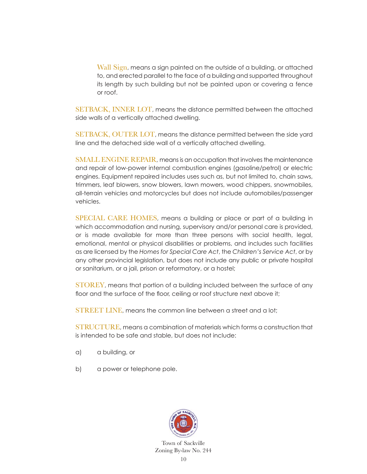Wall Sign, means a sign painted on the outside of a building, or attached to, and erected parallel to the face of a building and supported throughout its length by such building but not be painted upon or covering a fence or roof.

 SETBACK, INNER LOT, means the distance permitted between the attached side walls of a vertically attached dwelling.

 SETBACK, OUTER LOT, means the distance permitted between the side yard line and the detached side wall of a vertically attached dwelling.

SMALL ENGINE REPAIR, means is an occupation that involves the maintenance and repair of low-power internal combustion engines (gasoline/petrol) or electric engines. Equipment repaired includes uses such as, but not limited to, chain saws, trimmers, leaf blowers, snow blowers, lawn mowers, wood chippers, snowmobiles, all-terrain vehicles and motorcycles but does not include automobiles/passenger vehicles.

 SPECIAL CARE HOMES, means a building or place or part of a building in which accommodation and nursing, supervisory and/or personal care is provided, or is made available for more than three persons with social health, legal, emotional, mental or physical disabilities or problems, and includes such facilities as are licensed by the *Homes for Special Care Act*, the *Children's Service Act*, or by any other provincial legislation, but does not include any public or private hospital or sanitarium, or a jail, prison or reformatory, or a hostel;

 STOREY, means that portion of a building included between the surface of any floor and the surface of the floor, ceiling or roof structure next above it;

STREET LINE, means the common line between a street and a lot;

 STRUCTURE, means a combination of materials which forms a construction that is intended to be safe and stable, but does not include:

- a) a building, or
- b) a power or telephone pole.

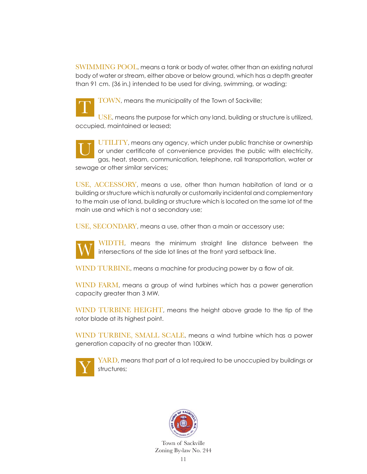SWIMMING POOL, means a tank or body of water, other than an existing natural body of water or stream, either above or below ground, which has a depth greater than 91 cm. (36 in.) intended to be used for diving, swimming, or wading;



TOWN, means the municipality of the Town of Sackville;

USE, means the purpose for which any land, building or structure is utilized, occupied, maintained or leased;

 UTILITY, means any agency, which under public franchise or ownership or under certificate of convenience provides the public with electricity, gas, heat, steam, communication, telephone, rail transportation, water or sewage or other similar services; U

 USE, ACCESSORY, means a use, other than human habitation of land or a building or structure which is naturally or customarily incidental and complementary to the main use of land, building or structure which is located on the same lot of the main use and which is not a secondary use;

USE, SECONDARY, means a use, other than a main or accessory use;



WIDTH, means the minimum straight line distance between the intersections of the side lot lines at the front yard setback line.

WIND TURBINE, means a machine for producing power by a flow of air.

 WIND FARM, means a group of wind turbines which has a power generation capacity greater than 3 MW.

 WIND TURBINE HEIGHT, means the height above grade to the tip of the rotor blade at its highest point.

 WIND TURBINE, SMALL SCALE, means a wind turbine which has a power generation capacity of no greater than 100kW.



YARD, means that part of a lot required to be unoccupied by buildings or structures;

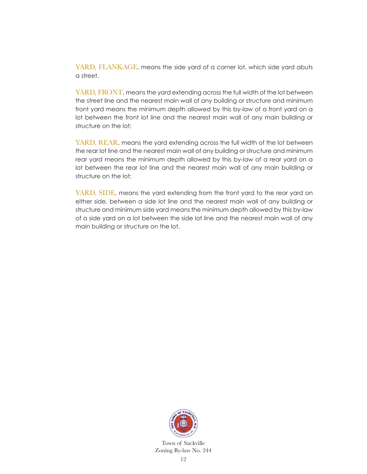YARD, FLANKAGE, means the side yard of a corner lot, which side yard abuts a street.

 YARD, FRONT, means the yard extending across the full width of the lot between the street line and the nearest main wall of any building or structure and minimum front yard means the minimum depth allowed by this by-law of a front yard on a lot between the front lot line and the nearest main wall of any main building or structure on the lot;

 YARD, REAR, means the yard extending across the full width of the lot between the rear lot line and the nearest main wall of any building or structure and minimum rear yard means the minimum depth allowed by this by-law of a rear yard on a lot between the rear lot line and the nearest main wall of any main building or structure on the lot;

YARD, SIDE, means the yard extending from the front yard to the rear yard on either side, between a side lot line and the nearest main wall of any building or structure and minimum side yard means the minimum depth allowed by this by-law of a side yard on a lot between the side lot line and the nearest main wall of any main building or structure on the lot.

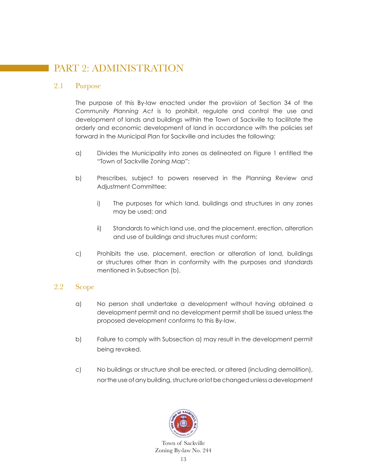# PART 2: ADMINISTRATION

#### 2.1 Purpose

 The purpose of this By-law enacted under the provision of Section 34 of the *Community Planning Act* is to prohibit, regulate and control the use and development of lands and buildings within the Town of Sackville to facilitate the orderly and economic development of land in accordance with the policies set forward in the Municipal Plan for Sackville and includes the following:

- a) Divides the Municipality into zones as delineated on Figure 1 entitled the "Town of Sackville Zoning Map";
- b) Prescribes, subject to powers reserved in the Planning Review and Adjustment Committee:
	- i) The purposes for which land, buildings and structures in any zones may be used; and
	- ii) Standards to which land use, and the placement, erection, alteration and use of buildings and structures must conform;
- c) Prohibits the use, placement, erection or alteration of land, buildings or structures other than in conformity with the purposes and standards mentioned in Subsection (b).

#### 2.2 Scope

- a) No person shall undertake a development without having obtained a development permit and no development permit shall be issued unless the proposed development conforms to this By-law.
- b) Failure to comply with Subsection a) may result in the development permit being revoked.
- c) No buildings or structure shall be erected, or altered (including demolition), nor the use of any building, structure or lot be changed unless a development

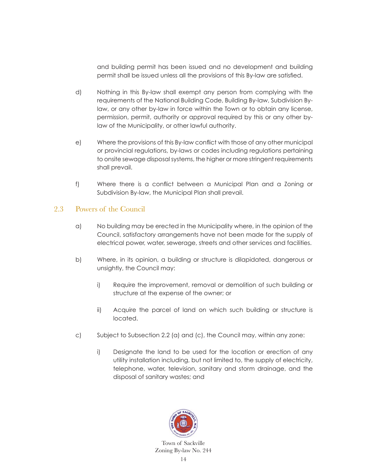and building permit has been issued and no development and building permit shall be issued unless all the provisions of this By-law are satisfied.

- d) Nothing in this By-law shall exempt any person from complying with the requirements of the National Building Code, Building By-law, Subdivision Bylaw, or any other by-law in force within the Town or to obtain any license, permission, permit, authority or approval required by this or any other bylaw of the Municipality, or other lawful authority.
- e) Where the provisions of this By-law conflict with those of any other municipal or provincial regulations, by-laws or codes including regulations pertaining to onsite sewage disposal systems, the higher or more stringent requirements shall prevail.
- f) Where there is a conflict between a Municipal Plan and a Zoning or Subdivision By-law, the Municipal Plan shall prevail.

#### 2.3 Powers of the Council

- a) No building may be erected in the Municipality where, in the opinion of the Council, satisfactory arrangements have not been made for the supply of electrical power, water, sewerage, streets and other services and facilities.
- b) Where, in its opinion, a building or structure is dilapidated, dangerous or unsightly, the Council may:
	- i) Require the improvement, removal or demolition of such building or structure at the expense of the owner; or
	- ii) Acquire the parcel of land on which such building or structure is located.
- c) Subject to Subsection 2.2 (a) and (c), the Council may, within any zone:
	- i) Designate the land to be used for the location or erection of any utility installation including, but not limited to, the supply of electricity, telephone, water, television, sanitary and storm drainage, and the disposal of sanitary wastes; and

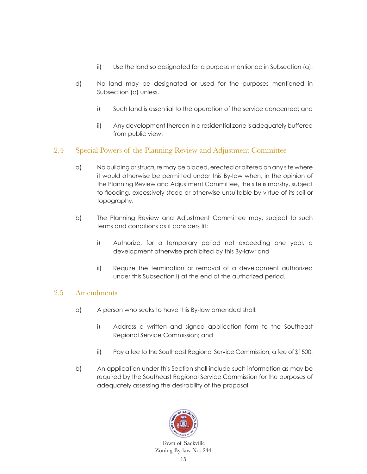- ii) Use the land so designated for a purpose mentioned in Subsection (a).
- d) No land may be designated or used for the purposes mentioned in Subsection (c) unless,
	- i) Such land is essential to the operation of the service concerned; and
	- ii) Any development thereon in a residential zone is adequately buffered from public view.

#### 2.4 Special Powers of the Planning Review and Adjustment Committee

- a) No building or structure may be placed, erected or altered on any site where it would otherwise be permitted under this By-law when, in the opinion of the Planning Review and Adjustment Committee, the site is marshy, subject to flooding, excessively steep or otherwise unsuitable by virtue of its soil or topography.
- b) The Planning Review and Adjustment Committee may, subject to such terms and conditions as it considers fit:
	- i) Authorize, for a temporary period not exceeding one year, a development otherwise prohibited by this By-law; and
	- ii) Require the termination or removal of a development authorized under this Subsection i) at the end of the authorized period.

#### 2.5 Amendments

- a) A person who seeks to have this By-law amended shall:
	- i) Address a written and signed application form to the Southeast Regional Service Commission; and
	- ii) Pay a fee to the Southeast Regional Service Commission, a fee of \$1500.
- b) An application under this Section shall include such information as may be required by the Southeast Regional Service Commission for the purposes of adequately assessing the desirability of the proposal.

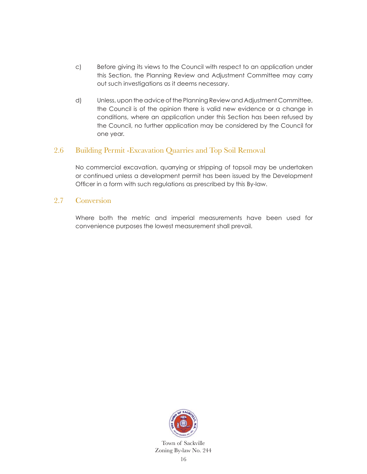- c) Before giving its views to the Council with respect to an application under this Section, the Planning Review and Adjustment Committee may carry out such investigations as it deems necessary.
- d) Unless, upon the advice of the Planning Review and Adjustment Committee, the Council is of the opinion there is valid new evidence or a change in conditions, where an application under this Section has been refused by the Council, no further application may be considered by the Council for one year.

#### 2.6 Building Permit -Excavation Quarries and Top Soil Removal

 No commercial excavation, quarrying or stripping of topsoil may be undertaken or continued unless a development permit has been issued by the Development Officer in a form with such regulations as prescribed by this By-law.

#### 2.7 Conversion

 Where both the metric and imperial measurements have been used for convenience purposes the lowest measurement shall prevail.

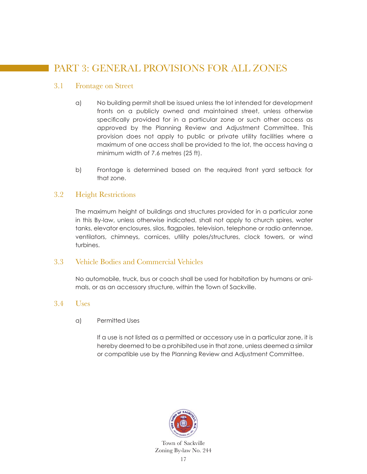# PART 3: GENERAL PROVISIONS FOR ALL ZONES

#### 3.1 Frontage on Street

- a) No building permit shall be issued unless the lot intended for development fronts on a publicly owned and maintained street, unless otherwise specifically provided for in a particular zone or such other access as approved by the Planning Review and Adjustment Committee. This provision does not apply to public or private utility facilities where a maximum of one access shall be provided to the lot, the access having a minimum width of 7.6 metres (25 ft).
- b) Frontage is determined based on the required front yard setback for that zone.

#### 3.2 Height Restrictions

 The maximum height of buildings and structures provided for in a particular zone in this By-law, unless otherwise indicated, shall not apply to church spires, water tanks, elevator enclosures, silos, flagpoles, television, telephone or radio antennae, ventilators, chimneys, cornices, utility poles/structures, clock towers, or wind turbines.

#### 3.3 Vehicle Bodies and Commercial Vehicles

 No automobile, truck, bus or coach shall be used for habitation by humans or animals, or as an accessory structure, within the Town of Sackville.

#### 3.4 Uses

a) Permitted Uses

 If a use is not listed as a permitted or accessory use in a particular zone, it is hereby deemed to be a prohibited use in that zone, unless deemed a similar or compatible use by the Planning Review and Adjustment Committee.

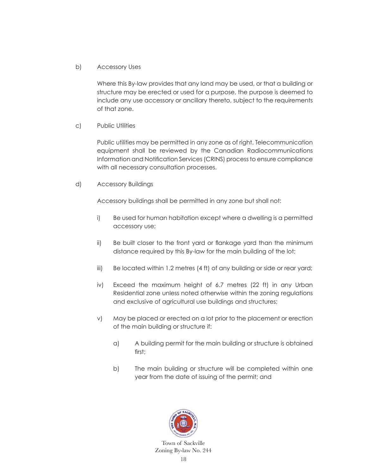#### b) Accessory Uses

 Where this By-law provides that any land may be used, or that a building or structure may be erected or used for a purpose, the purpose is deemed to include any use accessory or ancillary thereto, subject to the requirements of that zone.

#### c) Public Utilities

 Public utilities may be permitted in any zone as of right. Telecommunication equipment shall be reviewed by the Canadian Radiocommunications Information and Notification Services (CRINS) process to ensure compliance with all necessary consultation processes.

d) Accessory Buildings

Accessory buildings shall be permitted in any zone but shall not:

- i) Be used for human habitation except where a dwelling is a permitted accessory use;
- ii) Be built closer to the front yard or flankage yard than the minimum distance required by this By-law for the main building of the lot;
- iii) Be located within 1.2 metres (4 ft) of any building or side or rear yard;
- iv) Exceed the maximum height of 6.7 metres (22 ft) in any Urban Residential zone unless noted otherwise within the zoning regulations and exclusive of agricultural use buildings and structures;
- v) May be placed or erected on a lot prior to the placement or erection of the main building or structure if:
	- a) A building permit for the main building or structure is obtained first;
	- b) The main building or structure will be completed within one year from the date of issuing of the permit; and

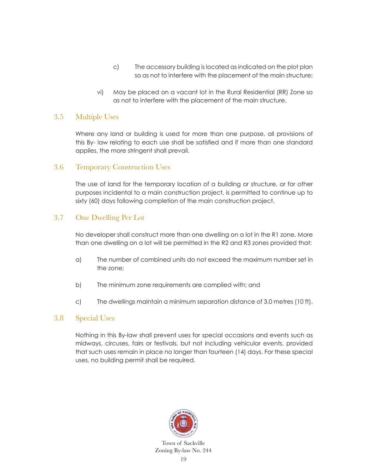- c) The accessory building is located as indicated on the plot plan so as not to interfere with the placement of the main structure;
- vi) May be placed on a vacant lot in the Rural Residential (RR) Zone so as not to interfere with the placement of the main structure.

#### 3.5 Multiple Uses

 Where any land or building is used for more than one purpose, all provisions of this By- law relating to each use shall be satisfied and if more than one standard applies, the more stringent shall prevail.

#### 3.6 Temporary Construction Uses

 The use of land for the temporary location of a building or structure, or for other purposes incidental to a main construction project, is permitted to continue up to sixty (60) days following completion of the main construction project.

#### 3.7 One Dwelling Per Lot

 No developer shall construct more than one dwelling on a lot in the R1 zone. More than one dwelling on a lot will be permitted in the R2 and R3 zones provided that:

- a) The number of combined units do not exceed the maximum number set in the zone;
- b) The minimum zone requirements are complied with; and
- c) The dwellings maintain a minimum separation distance of 3.0 metres (10 ft).

#### 3.8 Special Uses

 Nothing in this By-law shall prevent uses for special occasions and events such as midways, circuses, fairs or festivals, but not including vehicular events, provided that such uses remain in place no longer than fourteen (14) days. For these special uses, no building permit shall be required.

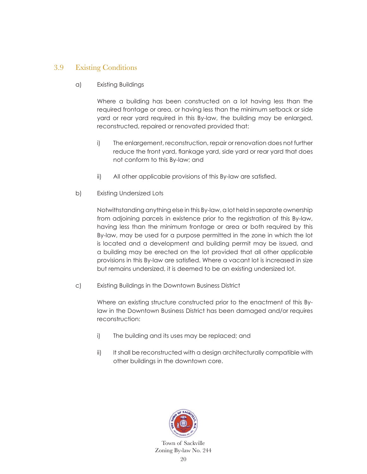#### 3.9 Existing Conditions

a) Existing Buildings

 Where a building has been constructed on a lot having less than the required frontage or area, or having less than the minimum setback or side yard or rear yard required in this By-law, the building may be enlarged, reconstructed, repaired or renovated provided that:

- i) The enlargement, reconstruction, repair or renovation does not further reduce the front yard, flankage yard, side yard or rear yard that does not conform to this By-law; and
- ii) All other applicable provisions of this By-law are satisfied.
- b) Existing Undersized Lots

 Notwithstanding anything else in this By-law, a lot held in separate ownership from adjoining parcels in existence prior to the registration of this By-law, having less than the minimum frontage or area or both required by this By-law, may be used for a purpose permitted in the zone in which the lot is located and a development and building permit may be issued, and a building may be erected on the lot provided that all other applicable provisions in this By-law are satisfied. Where a vacant lot is increased in size but remains undersized, it is deemed to be an existing undersized lot.

c) Existing Buildings in the Downtown Business District

Where an existing structure constructed prior to the enactment of this Bylaw in the Downtown Business District has been damaged and/or requires reconstruction:

- i) The building and its uses may be replaced; and
- ii) It shall be reconstructed with a design architecturally compatible with other buildings in the downtown core.

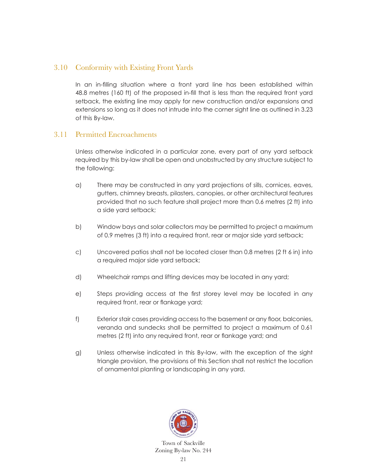#### 3.10 Conformity with Existing Front Yards

In an in-filling situation where a front yard line has been established within 48.8 metres (160 ft) of the proposed in-fill that is less than the required front yard setback, the existing line may apply for new construction and/or expansions and extensions so long as it does not intrude into the corner sight line as outlined in 3.23 of this By-law.

#### 3.11 Permitted Encroachments

 Unless otherwise indicated in a particular zone, every part of any yard setback required by this by-law shall be open and unobstructed by any structure subject to the following:

- a) There may be constructed in any yard projections of sills, cornices, eaves, gutters, chimney breasts, pilasters, canopies, or other architectural features provided that no such feature shall project more than 0.6 metres (2 ft) into a side yard setback;
- b) Window bays and solar collectors may be permitted to project a maximum of 0.9 metres (3 ft) into a required front, rear or major side yard setback;
- c) Uncovered patios shall not be located closer than 0.8 metres (2 ft 6 in) into a required major side yard setback;
- d) Wheelchair ramps and lifting devices may be located in any yard;
- e) Steps providing access at the first storey level may be located in any required front, rear or flankage yard;
- f) Exterior stair cases providing access to the basement or any floor, balconies, veranda and sundecks shall be permitted to project a maximum of 0.61 metres (2 ft) into any required front, rear or flankage yard; and
- g) Unless otherwise indicated in this By-law, with the exception of the sight triangle provision, the provisions of this Section shall not restrict the location of ornamental planting or landscaping in any yard.

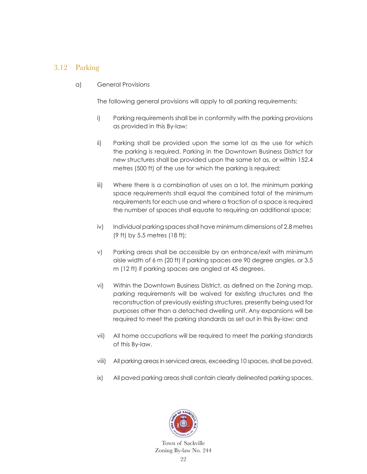#### 3.12 Parking

a) General Provisions

The following general provisions will apply to all parking requirements:

- i) Parking requirements shall be in conformity with the parking provisions as provided in this By-law;
- ii) Parking shall be provided upon the same lot as the use for which the parking is required. Parking in the Downtown Business District for new structures shall be provided upon the same lot as, or within 152.4 metres (500 ft) of the use for which the parking is required;
- iii) Where there is a combination of uses on a lot, the minimum parking space requirements shall equal the combined total of the minimum requirements for each use and where a fraction of a space is required the number of spaces shall equate to requiring an additional space;
- iv) Individual parking spaces shall have minimum dimensions of 2.8 metres (9 ft) by 5.5 metres (18 ft);
- v) Parking areas shall be accessible by an entrance/exit with minimum aisle width of 6 m (20 ft) if parking spaces are 90 degree angles, or 3.5 m (12 ft) if parking spaces are angled at 45 degrees.
- vi) Within the Downtown Business District, as defined on the Zoning map, parking requirements will be waived for existing structures and the reconstruction of previously existing structures, presently being used for purposes other than a detached dwelling unit. Any expansions will be required to meet the parking standards as set out in this By-law; and
- vii) All home occupations will be required to meet the parking standards of this By-law.
- viii) All parking areas in serviced areas, exceeding 10 spaces, shall be paved.
- ix) All paved parking areas shall contain clearly delineated parking spaces.

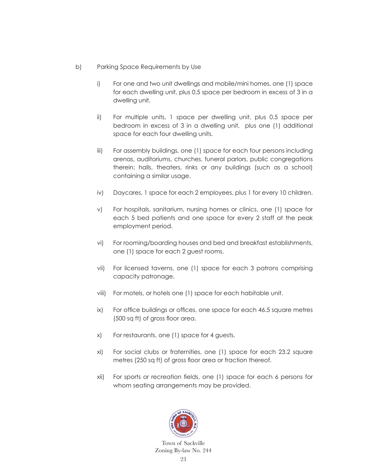- b) Parking Space Requirements by Use
	- i) For one and two unit dwellings and mobile/mini homes, one (1) space for each dwelling unit, plus 0.5 space per bedroom in excess of 3 in a dwelling unit.
	- ii) For multiple units, 1 space per dwelling unit, plus 0.5 space per bedroom in excess of 3 in a dwelling unit, plus one (1) additional space for each four dwelling units.
	- iii) For assembly buildings, one (1) space for each four persons including arenas, auditoriums, churches, funeral parlors, public congregations therein; halls, theaters, rinks or any buildings (such as a school) containing a similar usage.
	- iv) Daycares, 1 space for each 2 employees, plus 1 for every 10 children.
	- v) For hospitals, sanitarium, nursing homes or clinics, one (1) space for each 5 bed patients and one space for every 2 staff at the peak employment period.
	- vi) For rooming/boarding houses and bed and breakfast establishments, one (1) space for each 2 guest rooms.
	- vii) For licensed taverns, one (1) space for each 3 patrons comprising capacity patronage.
	- viii) For motels, or hotels one (1) space for each habitable unit.
	- ix) For office buildings or offices, one space for each 46.5 square metres (500 sq ft) of gross floor area.
	- x) For restaurants, one (1) space for 4 guests.
	- xi) For social clubs or fraternities, one (1) space for each 23.2 square metres (250 sq ft) of gross floor area or fraction thereof.
	- xii) For sports or recreation fields, one (1) space for each 6 persons for whom seating arrangements may be provided.

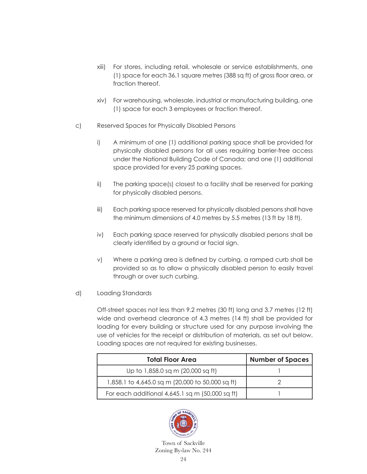- xiii) For stores, including retail, wholesale or service establishments, one (1) space for each 36.1 square metres (388 sq ft) of gross floor area, or fraction thereof.
- xiv) For warehousing, wholesale, industrial or manufacturing building, one (1) space for each 3 employees or fraction thereof.
- c) Reserved Spaces for Physically Disabled Persons
	- i) A minimum of one (1) additional parking space shall be provided for physically disabled persons for all uses requiring barrier-free access under the National Building Code of Canada; and one (1) additional space provided for every 25 parking spaces.
	- ii) The parking space(s) closest to a facility shall be reserved for parking for physically disabled persons.
	- iii) Each parking space reserved for physically disabled persons shall have the minimum dimensions of 4.0 metres by 5.5 metres (13 ft by 18 ft).
	- iv) Each parking space reserved for physically disabled persons shall be clearly identified by a ground or facial sign.
	- v) Where a parking area is defined by curbing, a ramped curb shall be provided so as to allow a physically disabled person to easily travel through or over such curbing.
- d) Loading Standards

 Off-street spaces not less than 9.2 metres (30 ft) long and 3.7 metres (12 ft) wide and overhead clearance of 4.3 metres (14 ft) shall be provided for loading for every building or structure used for any purpose involving the use of vehicles for the receipt or distribution of materials, as set out below. Loading spaces are not required for existing businesses.

| <b>Total Floor Area</b>                           | <b>Number of Spaces</b> |
|---------------------------------------------------|-------------------------|
| Up to 1,858.0 sq m (20,000 sq ft)                 |                         |
| 1,858.1 to 4,645.0 sq m (20,000 to 50,000 sq ft)  |                         |
| For each additional $4,645.1$ sq m (50,000 sq ft) |                         |

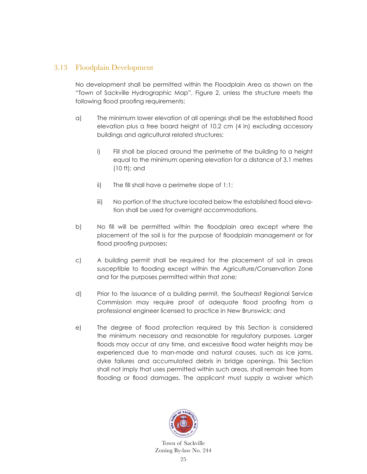#### 3.13 Floodplain Development

 No development shall be permitted within the Floodplain Area as shown on the "Town of Sackville Hydrographic Map", Figure 2, unless the structure meets the following flood proofing requirements:

- a) The minimum lower elevation of all openings shall be the established flood elevation plus a free board height of 10.2 cm (4 in) excluding accessory buildings and agricultural related structures:
	- i) Fill shall be placed around the perimetre of the building to a height equal to the minimum opening elevation for a distance of 3.1 metres (10 ft); and
	- ii) The fill shall have a perimetre slope of 1:1;
	- iii) No portion of the structure located below the established flood elevation shall be used for overnight accommodations.
- b) No fill will be permitted within the floodplain area except where the placement of the soil is for the purpose of floodplain management or for flood proofing purposes;
- c) A building permit shall be required for the placement of soil in areas susceptible to flooding except within the Agriculture/Conservation Zone and for the purposes permitted within that zone;
- d) Prior to the issuance of a building permit, the Southeast Regional Service Commission may require proof of adequate flood proofing from a professional engineer licensed to practice in New Brunswick; and
- e) The degree of flood protection required by this Section is considered the minimum necessary and reasonable for regulatory purposes. Larger floods may occur at any time, and excessive flood water heights may be experienced due to man-made and natural causes, such as ice jams, dyke failures and accumulated debris in bridge openings. This Section shall not imply that uses permitted within such areas, shall remain free from flooding or flood damages. The applicant must supply a waiver which

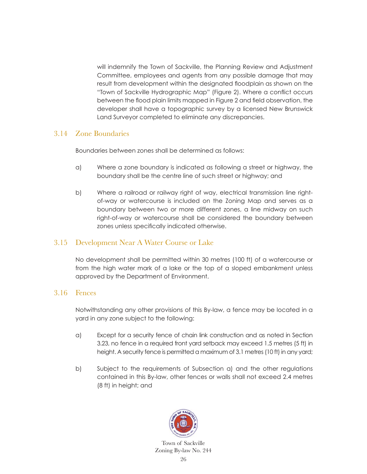will indemnify the Town of Sackville, the Planning Review and Adjustment Committee, employees and agents from any possible damage that may result from development within the designated floodplain as shown on the "Town of Sackville Hydrographic Map" (Figure 2). Where a conflict occurs between the flood plain limits mapped in Figure 2 and field observation, the developer shall have a topographic survey by a licensed New Brunswick Land Surveyor completed to eliminate any discrepancies.

#### 3.14 Zone Boundaries

Boundaries between zones shall be determined as follows:

- a) Where a zone boundary is indicated as following a street or highway, the boundary shall be the centre line of such street or highway; and
- b) Where a railroad or railway right of way, electrical transmission line rightof-way or watercourse is included on the Zoning Map and serves as a boundary between two or more different zones, a line midway on such right-of-way or watercourse shall be considered the boundary between zones unless specifically indicated otherwise.

#### 3.15 Development Near A Water Course or Lake

 No development shall be permitted within 30 metres (100 ft) of a watercourse or from the high water mark of a lake or the top of a sloped embankment unless approved by the Department of Environment.

#### 3.16 Fences

 Notwithstanding any other provisions of this By-law, a fence may be located in a yard in any zone subject to the following:

- a) Except for a security fence of chain link construction and as noted in Section 3.23, no fence in a required front yard setback may exceed 1.5 metres (5 ft) in height. A security fence is permitted a maximum of 3.1 metres (10 ft) in any yard;
- b) Subject to the requirements of Subsection a) and the other regulations contained in this By-law, other fences or walls shall not exceed 2.4 metres (8 ft) in height; and

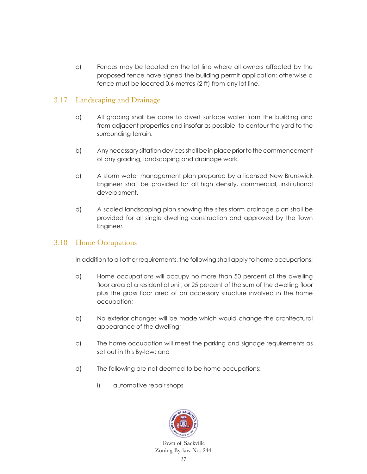c) Fences may be located on the lot line where all owners affected by the proposed fence have signed the building permit application; otherwise a fence must be located 0.6 metres (2 ft) from any lot line.

### 3.17 Landscaping and Drainage

- a) All grading shall be done to divert surface water from the building and from adjacent properties and insofar as possible, to contour the yard to the surrounding terrain.
- b) Any necessary siltation devices shall be in place prior to the commencement of any grading, landscaping and drainage work.
- c) A storm water management plan prepared by a licensed New Brunswick Engineer shall be provided for all high density, commercial, institutional development.
- d) A scaled landscaping plan showing the sites storm drainage plan shall be provided for all single dwelling construction and approved by the Town Engineer.

#### 3.18 Home Occupations

In addition to all other requirements, the following shall apply to home occupations:

- a) Home occupations will occupy no more than 50 percent of the dwelling floor area of a residential unit, or 25 percent of the sum of the dwelling floor plus the gross floor area of an accessory structure involved in the home occupation;
- b) No exterior changes will be made which would change the architectural appearance of the dwelling;
- c) The home occupation will meet the parking and signage requirements as set out in this By-law; and
- d) The following are not deemed to be home occupations:
	- i) automotive repair shops

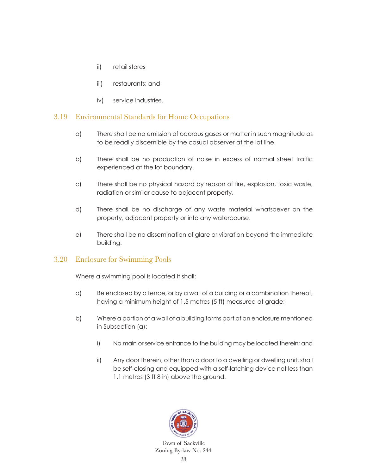- ii) retail stores
- iii) restaurants; and
- iv) service industries.

#### 3.19 Environmental Standards for Home Occupations

- a) There shall be no emission of odorous gases or matter in such magnitude as to be readily discernible by the casual observer at the lot line.
- b) There shall be no production of noise in excess of normal street traffic experienced at the lot boundary.
- c) There shall be no physical hazard by reason of fire, explosion, toxic waste, radiation or similar cause to adjacent property.
- d) There shall be no discharge of any waste material whatsoever on the property, adjacent property or into any watercourse.
- e) There shall be no dissemination of glare or vibration beyond the immediate building.

#### 3.20 Enclosure for Swimming Pools

Where a swimming pool is located it shall:

- a) Be enclosed by a fence, or by a wall of a building or a combination thereof, having a minimum height of 1.5 metres (5 ft) measured at grade;
- b) Where a portion of a wall of a building forms part of an enclosure mentioned in Subsection (a):
	- i) No main or service entrance to the building may be located therein; and
	- ii) Any door therein, other than a door to a dwelling or dwelling unit, shall be self-closing and equipped with a self-latching device not less than 1.1 metres (3 ft 8 in) above the ground.

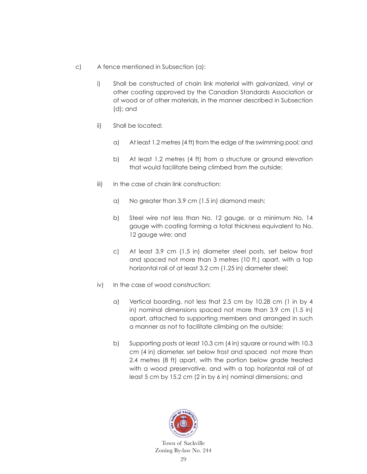- c) A fence mentioned in Subsection (a):
	- i) Shall be constructed of chain link material with galvanized, vinyl or other coating approved by the Canadian Standards Association or of wood or of other materials, in the manner described in Subsection (d); and
	- ii) Shall be located:
		- a) At least 1.2 metres (4 ft) from the edge of the swimming pool; and
		- b) At least 1.2 metres (4 ft) from a structure or ground elevation that would facilitate being climbed from the outside;
	- iii) In the case of chain link construction:
		- a) No greater than 3.9 cm (1.5 in) diamond mesh;
		- b) Steel wire not less than No. 12 gauge, or a minimum No. 14 gauge with coating forming a total thickness equivalent to No. 12 gauge wire; and
		- c) At least 3.9 cm (1.5 in) diameter steel posts, set below frost and spaced not more than 3 metres (10 ft.) apart, with a top horizontal rail of at least 3.2 cm (1.25 in) diameter steel;
	- iv) In the case of wood construction:
		- a) Vertical boarding, not less that 2.5 cm by 10.28 cm (1 in by 4 in) nominal dimensions spaced not more than 3.9 cm (1.5 in) apart, attached to supporting members and arranged in such a manner as not to facilitate climbing on the outside;
		- b) Supporting posts at least 10.3 cm (4 in) square or round with 10.3 cm (4 in) diameter, set below frost and spaced not more than 2.4 metres (8 ft) apart, with the portion below grade treated with a wood preservative, and with a top horizontal rail of at least 5 cm by 15.2 cm (2 in by 6 in) nominal dimensions; and

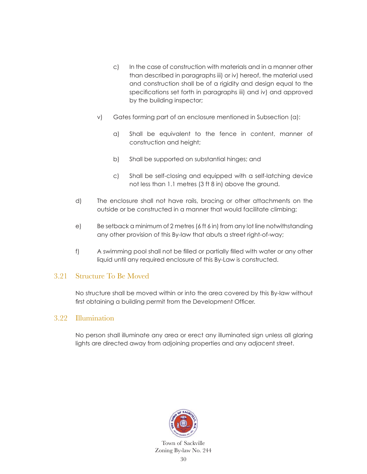- c) In the case of construction with materials and in a manner other than described in paragraphs iii) or iv) hereof, the material used and construction shall be of a rigidity and design equal to the specifications set forth in paragraphs iii) and iv) and approved by the building inspector;
- v) Gates forming part of an enclosure mentioned in Subsection (a):
	- a) Shall be equivalent to the fence in content, manner of construction and height;
	- b) Shall be supported on substantial hinges; and
	- c) Shall be self-closing and equipped with a self-latching device not less than 1.1 metres (3 ft 8 in) above the ground.
- d) The enclosure shall not have rails, bracing or other attachments on the outside or be constructed in a manner that would facilitate climbing;
- e) Be setback a minimum of 2 metres (6 ft 6 in) from any lot line notwithstanding any other provision of this By-law that abuts a street right-of-way;
- f) A swimming pool shall not be filled or partially filled with water or any other liquid until any required enclosure of this By-Law is constructed.

#### 3.21 Structure To Be Moved

 No structure shall be moved within or into the area covered by this By-law without first obtaining a building permit from the Development Officer.

#### 3.22 Illumination

 No person shall illuminate any area or erect any illuminated sign unless all glaring lights are directed away from adjoining properties and any adjacent street.

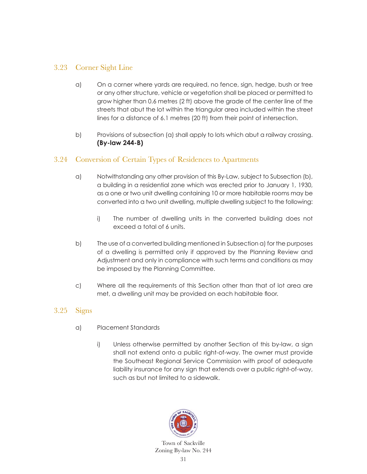### 3.23 Corner Sight Line

- a) On a corner where yards are required, no fence, sign, hedge, bush or tree or any other structure, vehicle or vegetation shall be placed or permitted to grow higher than 0.6 metres (2 ft) above the grade of the center line of the streets that abut the lot within the triangular area included within the street lines for a distance of 6.1 metres (20 ft) from their point of intersection.
- b) Provisions of subsection (a) shall apply to lots which abut a railway crossing. **(By-law 244-B)**

### 3.24 Conversion of Certain Types of Residences to Apartments

- a) Notwithstanding any other provision of this By-Law, subject to Subsection (b), a building in a residential zone which was erected prior to January 1, 1930, as a one or two unit dwelling containing 10 or more habitable rooms may be converted into a two unit dwelling, multiple dwelling subject to the following:
	- i) The number of dwelling units in the converted building does not exceed a total of 6 units.
- b) The use of a converted building mentioned in Subsection a) for the purposes of a dwelling is permitted only if approved by the Planning Review and Adjustment and only in compliance with such terms and conditions as may be imposed by the Planning Committee.
- c) Where all the requirements of this Section other than that of lot area are met, a dwelling unit may be provided on each habitable floor.

#### 3.25 Signs

- a) Placement Standards
	- i) Unless otherwise permitted by another Section of this by-law, a sign shall not extend onto a public right-of-way. The owner must provide the Southeast Regional Service Commission with proof of adequate liability insurance for any sign that extends over a public right-of-way, such as but not limited to a sidewalk.

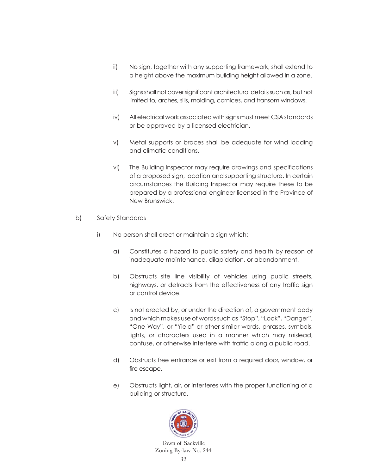- ii) No sign, together with any supporting framework, shall extend to a height above the maximum building height allowed in a zone.
- iii) Signs shall not cover significant architectural details such as, but not limited to, arches, sills, molding, cornices, and transom windows.
- iv) All electrical work associated with signs must meet CSA standards or be approved by a licensed electrician.
- v) Metal supports or braces shall be adequate for wind loading and climatic conditions.
- vi) The Building Inspector may require drawings and specifications of a proposed sign, location and supporting structure. In certain circumstances the Building Inspector may require these to be prepared by a professional engineer licensed in the Province of New Brunswick.
- b) Safety Standards
	- i) No person shall erect or maintain a sign which:
		- a) Constitutes a hazard to public safety and health by reason of inadequate maintenance, dilapidation, or abandonment.
		- b) Obstructs site line visibility of vehicles using public streets, highways, or detracts from the effectiveness of any traffic sign or control device.
		- c) Is not erected by, or under the direction of, a government body and which makes use of words such as "Stop", "Look", "Danger", "One Way", or "Yield" or other similar words, phrases, symbols, lights, or characters used in a manner which may mislead, confuse, or otherwise interfere with traffic along a public road.
		- d) Obstructs free entrance or exit from a required door, window, or fire escape.
		- e) Obstructs light, air, or interferes with the proper functioning of a building or structure.

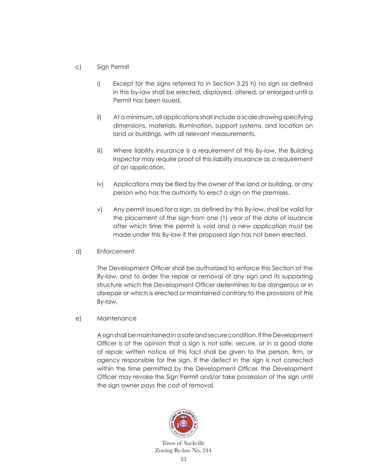- c) Sign Permit
	- i) Except for the signs referred to in Section 3.25 h) no sign as defined in this by-law shall be erected, displayed, altered, or enlarged until a Permit has been issued.
	- ii) At a minimum, all applications shall include a scale drawing specifying dimensions, materials, illumination, support systems, and location on land or buildings, with all relevant measurements.
	- iii) Where liability insurance is a requirement of this By-law, the Building Inspector may require proof of this liability insurance as a requirement of an application.
	- iv) Applications may be filed by the owner of the land or building, or any person who has the authority to erect a sign on the premises.
	- v) Any permit issued for a sign, as defined by this By-law, shall be valid for the placement of the sign from one (1) year of the date of issuance after which time the permit is void and a new application must be made under this By-law if the proposed sign has not been erected.
- d) Enforcement

The Development Officer shall be authorized to enforce this Section of the By-law, and to order the repair or removal of any sign and its supporting structure which the Development Officer determines to be dangerous or in disrepair or which is erected or maintained contrary to the provisions of this By-law.

e) Maintenance

 A sign shall be maintained in a safe and secure condition. If the Development Officer is of the opinion that a sign is not safe, secure, or in a good state of repair, written notice of this fact shall be given to the person, firm, or agency responsible for the sign. If the defect in the sign is not corrected within the time permitted by the Development Officer, the Development Officer may revoke the Sign Permit and/or take possession of the sign until the sign owner pays the cost of removal.

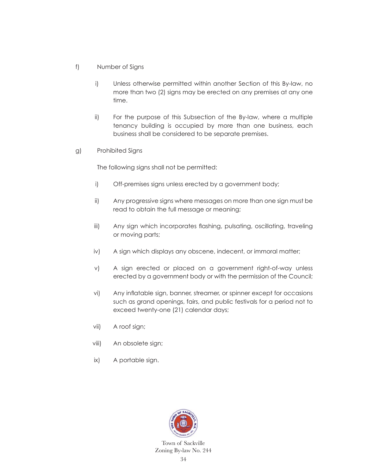- f) Number of Signs
	- i) Unless otherwise permitted within another Section of this By-law, no more than two (2) signs may be erected on any premises at any one time.
	- ii) For the purpose of this Subsection of the By-law, where a multiple tenancy building is occupied by more than one business, each business shall be considered to be separate premises.
- g) Prohibited Signs

The following signs shall not be permitted:

- i) Off-premises signs unless erected by a government body;
- ii) Any progressive signs where messages on more than one sign must be read to obtain the full message or meaning;
- iii) Any sign which incorporates flashing, pulsating, oscillating, traveling or moving parts;
- iv) A sign which displays any obscene, indecent, or immoral matter;
- v) A sign erected or placed on a government right-of-way unless erected by a government body or with the permission of the Council;
- vi) Any inflatable sign, banner, streamer, or spinner except for occasions such as grand openings, fairs, and public festivals for a period not to exceed twenty-one (21) calendar days;
- vii) A roof sign;
- viii) An obsolete sign;
- ix) A portable sign.

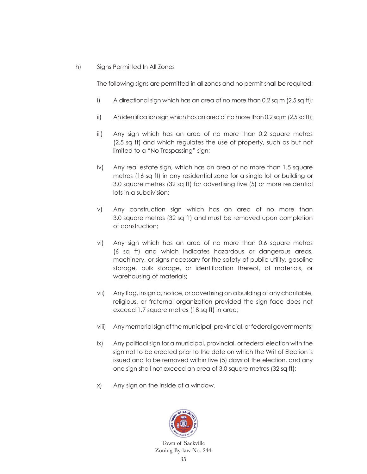#### h) Signs Permitted In All Zones

The following signs are permitted in all zones and no permit shall be required:

- i) A directional sign which has an area of no more than 0.2 sq m  $(2.5 \text{ sq ft})$ ;
- ii) An identification sign which has an area of no more than 0.2 sq m (2.5 sq ft);
- iii) Any sign which has an area of no more than 0.2 square metres (2.5 sq ft) and which regulates the use of property, such as but not limited to a "No Trespassing" sign;
- iv) Any real estate sign, which has an area of no more than 1.5 square metres (16 sq ft) in any residential zone for a single lot or building or 3.0 square metres (32 sq ft) for advertising five (5) or more residential lots in a subdivision;
- v) Any construction sign which has an area of no more than 3.0 square metres (32 sq ft) and must be removed upon completion of construction;
- vi) Any sign which has an area of no more than 0.6 square metres (6 sq ft) and which indicates hazardous or dangerous areas, machinery, or signs necessary for the safety of public utility, gasoline storage, bulk storage, or identification thereof, of materials, or warehousing of materials;
- vii) Any flag, insignia, notice, or advertising on a building of any charitable, religious, or fraternal organization provided the sign face does not exceed 1.7 square metres (18 sq ft) in area;
- viii) Any memorial sign of the municipal, provincial, or federal governments;
- ix) Any political sign for a municipal, provincial, or federal election with the sign not to be erected prior to the date on which the Writ of Election is issued and to be removed within five (5) days of the election, and any one sign shall not exceed an area of 3.0 square metres (32 sq ft);
- x) Any sign on the inside of a window.

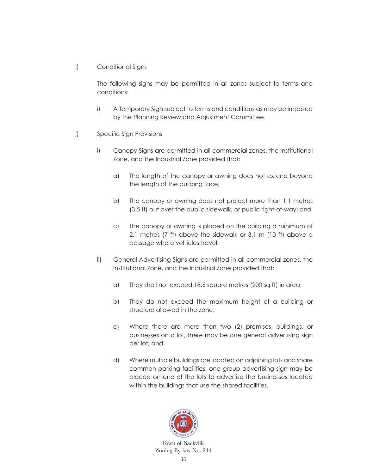i) Conditional Signs

 The following signs may be permitted in all zones subject to terms and conditions:

- i) A Temporary Sign subject to terms and conditions as may be imposed by the Planning Review and Adjustment Committee.
- j) Specific Sign Provisions
	- i) Canopy Signs are permitted in all commercial zones, the Institutional Zone, and the Industrial Zone provided that:
		- a) The length of the canopy or awning does not extend beyond the length of the building face;
		- b) The canopy or awning does not project more than 1.1 metres (3.5 ft) out over the public sidewalk, or public right-of-way; and
		- c) The canopy or awning is placed on the building a minimum of 2.1 metres (7 ft) above the sidewalk or 3.1 m (10 ft) above a passage where vehicles travel.
	- ii) General Advertising Signs are permitted in all commercial zones, the Institutional Zone, and the Industrial Zone provided that:
		- a) They shall not exceed 18.6 square metres (200 sq ft) in area;
		- b) They do not exceed the maximum height of a building or structure allowed in the zone;
		- c) Where there are more than two (2) premises, buildings, or businesses on a lot, there may be one general advertising sign per lot; and
		- d) Where multiple buildings are located on adjoining lots and share common parking facilities, one group advertising sign may be placed on one of the lots to advertise the businesses located within the buildings that use the shared facilities.

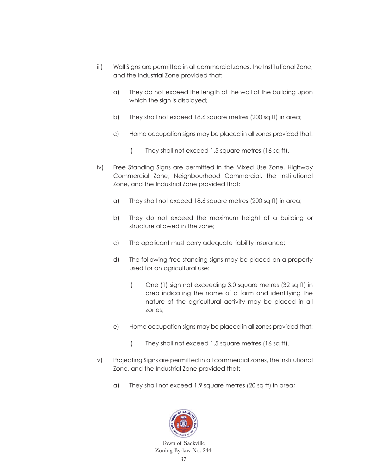- iii) Wall Signs are permitted in all commercial zones, the Institutional Zone, and the Industrial Zone provided that:
	- a) They do not exceed the length of the wall of the building upon which the sign is displayed;
	- b) They shall not exceed 18.6 square metres (200 sq ft) in area;
	- c) Home occupation signs may be placed in all zones provided that:
		- i) They shall not exceed 1.5 square metres (16 sq ft).
- iv) Free Standing Signs are permitted in the Mixed Use Zone, Highway Commercial Zone, Neighbourhood Commercial, the Institutional Zone, and the Industrial Zone provided that:
	- a) They shall not exceed 18.6 square metres (200 sq ft) in area;
	- b) They do not exceed the maximum height of a building or structure allowed in the zone;
	- c) The applicant must carry adequate liability insurance;
	- d) The following free standing signs may be placed on a property used for an agricultural use:
		- i) One (1) sign not exceeding 3.0 square metres (32 sq ft) in area indicating the name of a farm and identifying the nature of the agricultural activity may be placed in all zones;
	- e) Home occupation signs may be placed in all zones provided that:
		- i) They shall not exceed 1.5 square metres (16 sq ft).
- v) Projecting Signs are permitted in all commercial zones, the Institutional Zone, and the Industrial Zone provided that:
	- a) They shall not exceed 1.9 square metres (20 sq ft) in area;

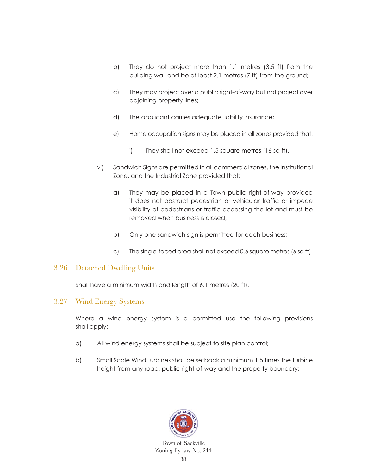- b) They do not project more than 1.1 metres (3.5 ft) from the building wall and be at least 2.1 metres (7 ft) from the ground;
- c) They may project over a public right-of-way but not project over adjoining property lines;
- d) The applicant carries adequate liability insurance;
- e) Home occupation signs may be placed in all zones provided that:
	- i) They shall not exceed 1.5 square metres (16 sq ft).
- vi) Sandwich Signs are permitted in all commercial zones, the Institutional Zone, and the Industrial Zone provided that:
	- a) They may be placed in a Town public right-of-way provided it does not obstruct pedestrian or vehicular traffic or impede visibility of pedestrians or traffic accessing the lot and must be removed when business is closed;
	- b) Only one sandwich sign is permitted for each business;
	- c) The single-faced area shall not exceed 0.6 square metres (6 sq ft).

#### 3.26 Detached Dwelling Units

Shall have a minimum width and length of 6.1 metres (20 ft).

#### 3.27 Wind Energy Systems

 Where a wind energy system is a permitted use the following provisions shall apply:

- a) All wind energy systems shall be subject to site plan control;
- b) Small Scale Wind Turbines shall be setback a minimum 1.5 times the turbine height from any road, public right-of-way and the property boundary;

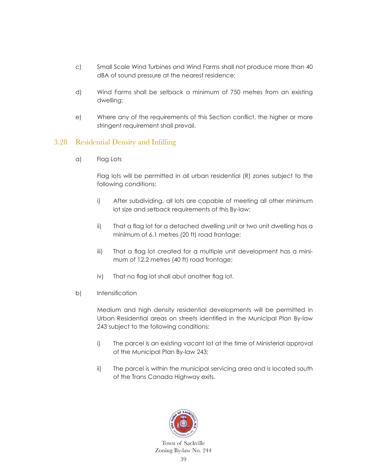- c) Small Scale Wind Turbines and Wind Farms shall not produce more than 40 dBA of sound pressure at the nearest residence;
- d) Wind Farms shall be setback a minimum of 750 metres from an existing dwelling;
- e) Where any of the requirements of this Section conflict, the higher or more stringent requirement shall prevail.

#### 3.28 Residential Density and Infilling

a) Flag Lots

 Flag lots will be permitted in all urban residential (R) zones subject to the following conditions:

- i) After subdividing, all lots are capable of meeting all other minimum lot size and setback requirements of this By-law;
- ii) That a flag lot for a detached dwelling unit or two unit dwelling has a minimum of 6.1 metres (20 ft) road frontage;
- iii) That a flag lot created for a multiple unit development has a minimum of 12.2 metres (40 ft) road frontage;
- iv) That no flag lot shall abut another flag lot.
- b) Intensification

 Medium and high density residential developments will be permitted in Urban Residential areas on streets identified in the Municipal Plan By-law 243 subject to the following conditions:

- i) The parcel is an existing vacant lot at the time of Ministerial approval of the Municipal Plan By-law 243;
- ii) The parcel is within the municipal servicing area and is located south of the Trans Canada Highway exits.

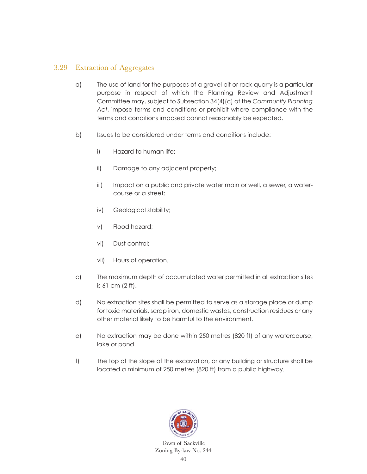### 3.29 Extraction of Aggregates

- a) The use of land for the purposes of a gravel pit or rock quarry is a particular purpose in respect of which the Planning Review and Adjustment Committee may, subject to Subsection 34(4)(c) of the *Community Planning Act*, impose terms and conditions or prohibit where compliance with the terms and conditions imposed cannot reasonably be expected.
- b) Issues to be considered under terms and conditions include:
	- i) Hazard to human life;
	- ii) Damage to any adjacent property;
	- iii) Impact on a public and private water main or well, a sewer, a watercourse or a street;
	- iv) Geological stability;
	- v) Flood hazard;
	- vi) Dust control;
	- vii) Hours of operation.
- c) The maximum depth of accumulated water permitted in all extraction sites is 61 cm (2 ft).
- d) No extraction sites shall be permitted to serve as a storage place or dump for toxic materials, scrap iron, domestic wastes, construction residues or any other material likely to be harmful to the environment.
- e) No extraction may be done within 250 metres (820 ft) of any watercourse, lake or pond.
- f) The top of the slope of the excavation, or any building or structure shall be located a minimum of 250 metres (820 ft) from a public highway.

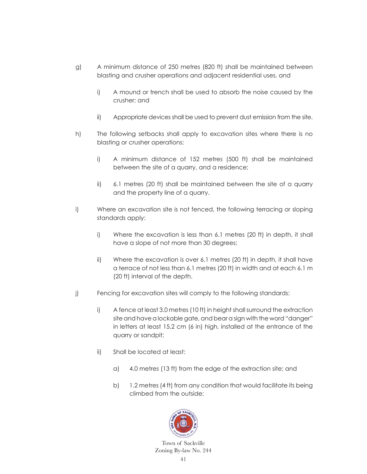- g) A minimum distance of 250 metres (820 ft) shall be maintained between blasting and crusher operations and adjacent residential uses, and
	- i) A mound or trench shall be used to absorb the noise caused by the crusher; and
	- ii) Appropriate devices shall be used to prevent dust emission from the site.
- h) The following setbacks shall apply to excavation sites where there is no blasting or crusher operations:
	- i) A minimum distance of 152 metres (500 ft) shall be maintained between the site of a quarry, and a residence;
	- ii) 6.1 metres (20 ft) shall be maintained between the site of a quarry and the property line of a quarry.
- i) Where an excavation site is not fenced, the following terracing or sloping standards apply:
	- i) Where the excavation is less than 6.1 metres (20 ft) in depth, it shall have a slope of not more than 30 degrees;
	- ii) Where the excavation is over 6.1 metres (20 ft) in depth, it shall have a terrace of not less than 6.1 metres (20 ft) in width and at each 6.1 m (20 ft) interval of the depth.
- j) Fencing for excavation sites will comply to the following standards:
	- i) A fence at least 3.0 metres (10 ft) in height shall surround the extraction site and have a lockable gate, and bear a sign with the word "danger" in letters at least 15.2 cm (6 in) high, installed at the entrance of the quarry or sandpit;
	- ii) Shall be located at least:
		- a) 4.0 metres (13 ft) from the edge of the extraction site; and
		- b) 1.2 metres (4 ft) from any condition that would facilitate its being climbed from the outside;

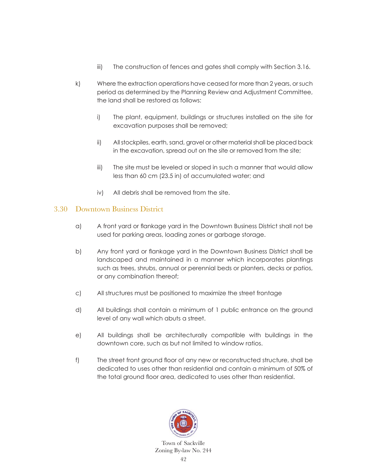- iii) The construction of fences and gates shall comply with Section 3.16.
- k) Where the extraction operations have ceased for more than 2 years, or such period as determined by the Planning Review and Adjustment Committee, the land shall be restored as follows:
	- i) The plant, equipment, buildings or structures installed on the site for excavation purposes shall be removed;
	- ii) All stockpiles, earth, sand, gravel or other material shall be placed back in the excavation, spread out on the site or removed from the site;
	- iii) The site must be leveled or sloped in such a manner that would allow less than 60 cm (23.5 in) of accumulated water; and
	- iv) All debris shall be removed from the site.

### 3.30 Downtown Business District

- a) A front yard or flankage yard in the Downtown Business District shall not be used for parking areas, loading zones or garbage storage.
- b) Any front yard or flankage yard in the Downtown Business District shall be landscaped and maintained in a manner which incorporates plantings such as trees, shrubs, annual or perennial beds or planters, decks or patios, or any combination thereof;
- c) All structures must be positioned to maximize the street frontage
- d) All buildings shall contain a minimum of 1 public entrance on the ground level of any wall which abuts a street.
- e) All buildings shall be architecturally compatible with buildings in the downtown core, such as but not limited to window ratios.
- f) The street front ground floor of any new or reconstructed structure, shall be dedicated to uses other than residential and contain a minimum of 50% of the total ground floor area, dedicated to uses other than residential.

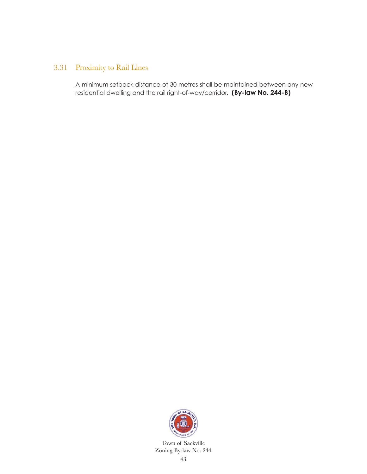### 3.31 Proximity to Rail Lines

 A minimum setback distance ot 30 metres shall be maintained between any new residential dwelling and the rail right-of-way/corridor. **(By-law No. 244-B)**

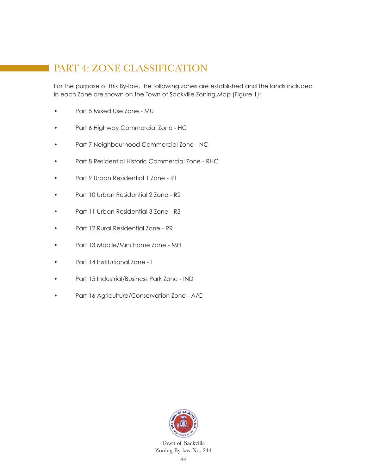# PART 4: ZONE CLASSIFICATION

For the purpose of this By-law, the following zones are established and the lands included in each Zone are shown on the Town of Sackville Zoning Map (Figure 1):

- Part 5 Mixed Use Zone MU
- Part 6 Highway Commercial Zone HC
- Part 7 Neighbourhood Commercial Zone NC
- Part 8 Residential Historic Commercial Zone RHC
- Part 9 Urban Residential 1 Zone R1
- Part 10 Urban Residential 2 Zone R2
- Part 11 Urban Residential 3 Zone R3
- Part 12 Rural Residential Zone RR
- Part 13 Mobile/Mini Home Zone MH
- Part 14 Institutional Zone I
- Part 15 Industrial/Business Park Zone IND
- Part 16 Agriculture/Conservation Zone A/C

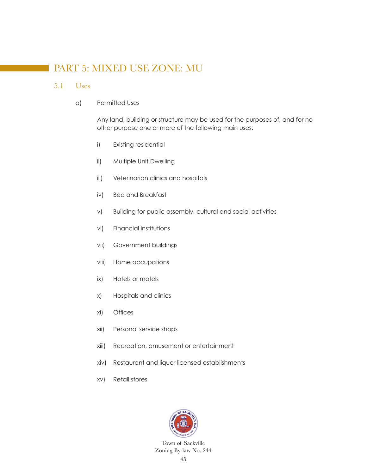# PART 5: MIXED USE ZONE: MU

#### 5.1 Uses

a) Permitted Uses

 Any land, building or structure may be used for the purposes of, and for no other purpose one or more of the following main uses:

- i) Existing residential
- ii) Multiple Unit Dwelling
- iii) Veterinarian clinics and hospitals
- iv) Bed and Breakfast
- v) Building for public assembly, cultural and social activities
- vi) Financial institutions
- vii) Government buildings
- viii) Home occupations
- ix) Hotels or motels
- x) Hospitals and clinics
- xi) Offices
- xii) Personal service shops
- xiii) Recreation, amusement or entertainment
- xiv) Restaurant and liquor licensed establishments
- xv) Retail stores

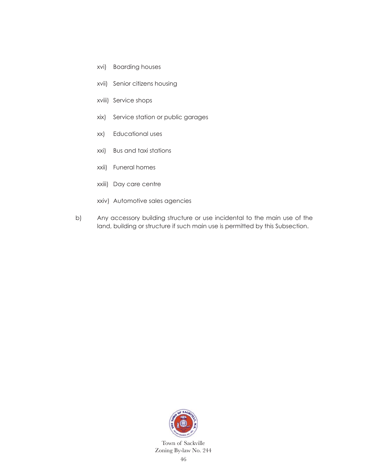- xvi) Boarding houses
- xvii) Senior citizens housing
- xviii) Service shops
- xix) Service station or public garages
- xx) Educational uses
- xxi) Bus and taxi stations
- xxii) Funeral homes
- xxiii) Day care centre
- xxiv) Automotive sales agencies
- b) Any accessory building structure or use incidental to the main use of the land, building or structure if such main use is permitted by this Subsection.

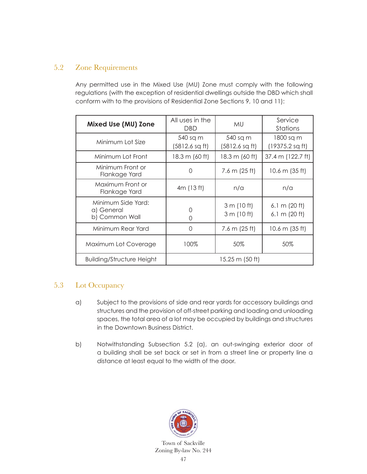### 5.2 Zone Requirements

 Any permitted use in the Mixed Use (MU) Zone must comply with the following regulations (with the exception of residential dwellings outside the DBD which shall conform with to the provisions of Residential Zone Sections 9, 10 and 11):

| Mixed Use (MU) Zone                                | All uses in the<br><b>DBD</b> | <b>MU</b>                  | Service<br>Stations                |
|----------------------------------------------------|-------------------------------|----------------------------|------------------------------------|
| Minimum Lot Size                                   | 540 sq m<br>(5812.6 sq ft)    | 540 sq m<br>(5812.6 sq ft) | 1800 sq m<br>(19375.2 sq ft)       |
| Minimum Lot Front                                  | 18.3 m (60 ft)                | 18.3 m (60 ft)             | 37.4 m (122.7 ft)                  |
| Minimum Front or<br>Flankage Yard                  | Ω                             | $7.6 \text{ m}$ (25 ft)    | 10.6 m $(35 ft)$                   |
| Maximum Front or<br>Flankage Yard                  | 4m (13 ft)                    | n/a                        | n/a                                |
| Minimum Side Yard:<br>a) General<br>b) Common Wall | 0<br>0                        | 3 m (10 ft)<br>3 m (10 ft) | 6.1 m $(20 ft)$<br>6.1 m $(20 ft)$ |
| Minimum Rear Yard                                  | Ω                             | 7.6 m $(25 \text{ ft})$    | 10.6 m $(35 ft)$                   |
| Maximum Lot Coverage                               | 100%                          | 50%                        | 50%                                |
| <b>Building/Structure Height</b>                   | 15.25 m (50 ft)               |                            |                                    |

### 5.3 Lot Occupancy

- a) Subject to the provisions of side and rear yards for accessory buildings and structures and the provision of off-street parking and loading and unloading spaces, the total area of a lot may be occupied by buildings and structures in the Downtown Business District.
- b) Notwithstanding Subsection 5.2 (a), an out-swinging exterior door of a building shall be set back or set in from a street line or property line a distance at least equal to the width of the door.

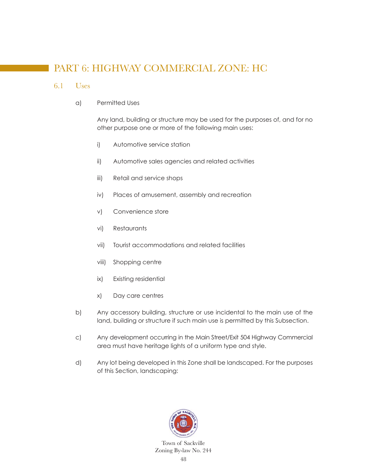# PART 6: HIGHWAY COMMERCIAL ZONE: HC

#### 6.1 Uses

#### a) Permitted Uses

 Any land, building or structure may be used for the purposes of, and for no other purpose one or more of the following main uses:

- i) Automotive service station
- ii) Automotive sales agencies and related activities
- iii) Retail and service shops
- iv) Places of amusement, assembly and recreation
- v) Convenience store
- vi) Restaurants
- vii) Tourist accommodations and related facilities
- viii) Shopping centre
- ix) Existing residential
- x) Day care centres
- b) Any accessory building, structure or use incidental to the main use of the land, building or structure if such main use is permitted by this Subsection.
- c) Any development occurring in the Main Street/Exit 504 Highway Commercial area must have heritage lights of a uniform type and style.
- d) Any lot being developed in this Zone shall be landscaped. For the purposes of this Section, landscaping:

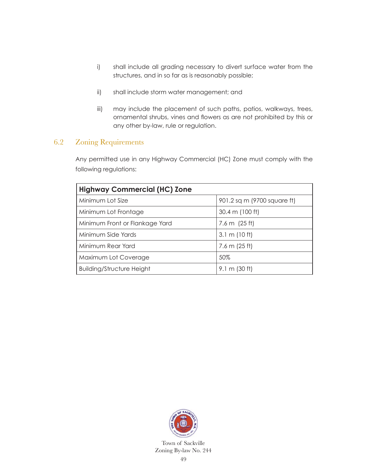- i) shall include all grading necessary to divert surface water from the structures, and in so far as is reasonably possible;
- ii) shall include storm water management; and
- iii) may include the placement of such paths, patios, walkways, trees, ornamental shrubs, vines and flowers as are not prohibited by this or any other by-law, rule or regulation.

#### 6.2 Zoning Requirements

 Any permitted use in any Highway Commercial (HC) Zone must comply with the following regulations:

| <b>Highway Commercial (HC) Zone</b> |                             |  |  |  |
|-------------------------------------|-----------------------------|--|--|--|
| Minimum Lot Size                    | 901.2 sq m (9700 square ft) |  |  |  |
| Minimum Lot Frontage                | 30.4 m (100 ft)             |  |  |  |
| Minimum Front or Flankage Yard      | 7.6 m $(25 \text{ ft})$     |  |  |  |
| Minimum Side Yards                  | $3.1 \text{ m}$ (10 ft)     |  |  |  |
| Minimum Rear Yard                   | 7.6 m $(25 ft)$             |  |  |  |
| Maximum Lot Coverage                | 50%                         |  |  |  |
| <b>Building/Structure Height</b>    | $9.1 \text{ m}$ (30 ft)     |  |  |  |

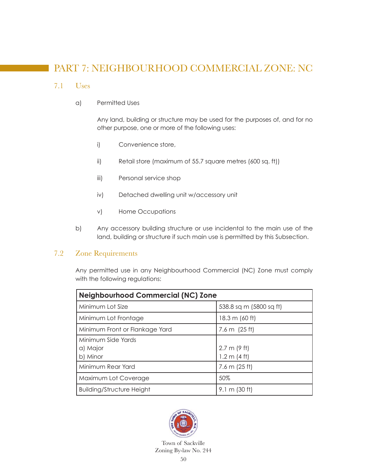# PART 7: NEIGHBOURHOOD COMMERCIAL ZONE: NC

#### 7.1 Uses

a) Permitted Uses

 Any land, building or structure may be used for the purposes of, and for no other purpose, one or more of the following uses:

- i) Convenience store,
- ii) Retail store (maximum of 55.7 square metres (600 sq. ft))
- iii) Personal service shop
- iv) Detached dwelling unit w/accessory unit
- v) Home Occupations
- b) Any accessory building structure or use incidental to the main use of the land, building or structure if such main use is permitted by this Subsection.

#### 7.2 Zone Requirements

 Any permitted use in any Neighbourhood Commercial (NC) Zone must comply with the following regulations:

| <b>Neighbourhood Commercial (NC) Zone</b> |                         |  |  |
|-------------------------------------------|-------------------------|--|--|
| Minimum Lot Size                          | 538.8 sq m (5800 sq ft) |  |  |
| Minimum Lot Frontage                      | 18.3 m (60 ft)          |  |  |
| Minimum Front or Flankage Yard            | 7.6 m $(25 \text{ ft})$ |  |  |
| Minimum Side Yards                        |                         |  |  |
| a) Major                                  | $2.7 \text{ m}$ (9 ft)  |  |  |
| b) Minor                                  | 1.2 m (4 ft)            |  |  |
| Minimum Rear Yard                         | $7.6 \text{ m}$ (25 ft) |  |  |
| Maximum Lot Coverage                      | 50%                     |  |  |
| <b>Building/Structure Height</b>          | $9.1 \text{ m}$ (30 ft) |  |  |

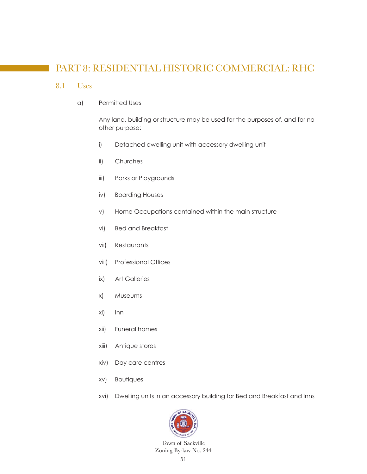# PART 8: RESIDENTIAL HISTORIC COMMERCIAL: RHC

#### 8.1 Uses

a) Permitted Uses

 Any land, building or structure may be used for the purposes of, and for no other purpose:

- i) Detached dwelling unit with accessory dwelling unit
- ii) Churches
- iii) Parks or Playgrounds
- iv) Boarding Houses
- v) Home Occupations contained within the main structure
- vi) Bed and Breakfast
- vii) Restaurants
- viii) Professional Offices
- ix) Art Galleries
- x) Museums
- xi) Inn
- xii) Funeral homes
- xiii) Antique stores
- xiv) Day care centres
- xv) Boutiques
- xvi) Dwelling units in an accessory building for Bed and Breakfast and Inns

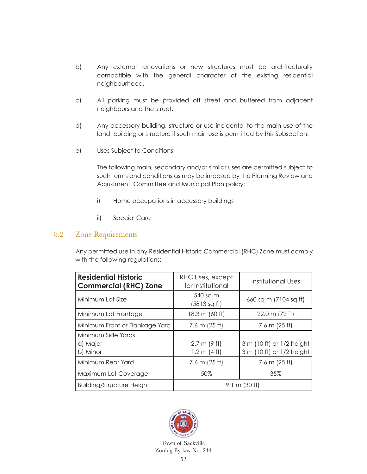- b) Any external renovations or new structures must be architecturally compatible with the general character of the existing residential neighbourhood.
- c) All parking must be provided off street and buffered from adjacent neighbours and the street.
- d) Any accessory building, structure or use incidental to the main use of the land, building or structure if such main use is permitted by this Subsection.
- e) Uses Subject to Conditions

 The following main, secondary and/or similar uses are permitted subject to such terms and conditions as may be imposed by the Planning Review and Adjustment Committee and Municipal Plan policy:

- i) Home occupations in accessory buildings
- ii) Special Care

#### 8.2 Zone Requirements

 Any permitted use in any Residential Historic Commercial (RHC) Zone must comply with the following regulations:

| <b>Residential Historic</b><br><b>Commercial (RHC) Zone</b> | RHC Uses, except<br>for Institutional | Institutional Uses        |  |
|-------------------------------------------------------------|---------------------------------------|---------------------------|--|
| Minimum Lot Size                                            | 540 sq m<br>(5813 sq ft)              | 660 sq m (7104 sq ft)     |  |
| Minimum Lot Frontage                                        | 18.3 m (60 ft)                        | $22.0 \text{ m}$ (72 ft)  |  |
| Minimum Front or Flankage Yard                              | 7.6 m $(25 ft)$                       | 7.6 m $(25 ft)$           |  |
| Minimum Side Yards                                          |                                       |                           |  |
| a) Major                                                    | $2.7 \text{ m}$ (9 ft)                | 3 m (10 ft) or 1/2 height |  |
| b) Minor                                                    | 1.2 m (4 ft)                          | 3 m (10 ft) or 1/2 height |  |
| Minimum Rear Yard                                           | 7.6 m $(25 ft)$                       | 7.6 m $(25 ft)$           |  |
| Maximum Lot Coverage                                        | 50%                                   | 35%                       |  |
| <b>Building/Structure Height</b>                            | $9.1 \text{ m}$ (30 ft)               |                           |  |

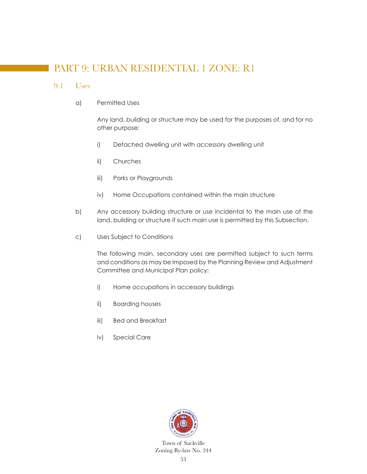# PART 9: URBAN RESIDENTIAL 1 ZONE: R1

#### 9.1 Uses

a) Permitted Uses

 Any land, building or structure may be used for the purposes of, and for no other purpose:

- i) Detached dwelling unit with accessory dwelling unit
- ii) Churches
- iii) Parks or Playgrounds
- iv) Home Occupations contained within the main structure
- b) Any accessory building structure or use incidental to the main use of the land, building or structure if such main use is permitted by this Subsection.
- c) Uses Subject to Conditions

 The following main, secondary uses are permitted subject to such terms and conditions as may be imposed by the Planning Review and Adjustment Committee and Municipal Plan policy:

- i) Home occupations in accessory buildings
- ii) Boarding houses
- iii) Bed and Breakfast
- iv) Special Care

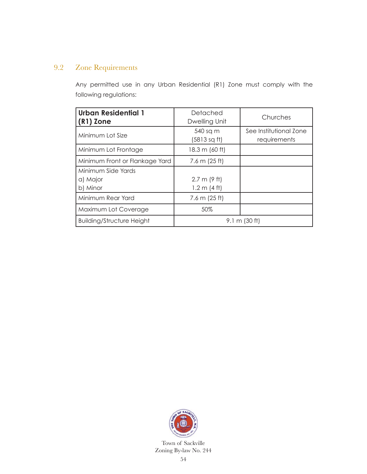### 9.2 Zone Requirements

 Any permitted use in any Urban Residential (R1) Zone must comply with the following regulations:

| <b>Urban Residential 1</b><br>$(R1)$ Zone  | Detached<br>Dwelling Unit              | Churches                               |  |
|--------------------------------------------|----------------------------------------|----------------------------------------|--|
| Minimum Lot Size                           | 540 sq m<br>(5813 sq ft)               | See Institutional Zone<br>requirements |  |
| Minimum Lot Frontage                       | 18.3 m (60 ft)                         |                                        |  |
| Minimum Front or Flankage Yard             | 7.6 m $(25 ft)$                        |                                        |  |
| Minimum Side Yards<br>a) Major<br>b) Minor | $2.7 \text{ m}$ (9 ft)<br>1.2 m (4 ft) |                                        |  |
| Minimum Rear Yard                          | 7.6 m $(25 ft)$                        |                                        |  |
| Maximum Lot Coverage                       | 50%                                    |                                        |  |
| <b>Building/Structure Height</b>           | $9.1 \text{ m}$ (30 ft)                |                                        |  |

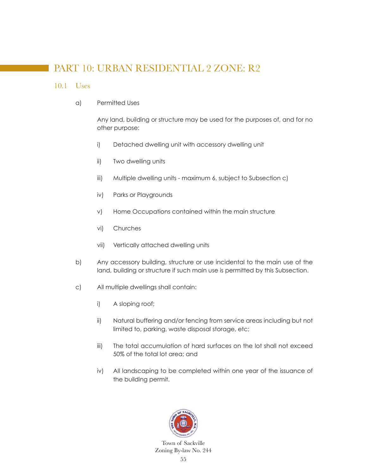# PART 10: URBAN RESIDENTIAL 2 ZONE: R2

#### 10.1 Uses

a) Permitted Uses

 Any land, building or structure may be used for the purposes of, and for no other purpose:

- i) Detached dwelling unit with accessory dwelling unit
- ii) Two dwelling units
- iii) Multiple dwelling units maximum 6, subject to Subsection c)
- iv) Parks or Playgrounds
- v) Home Occupations contained within the main structure
- vi) Churches
- vii) Vertically attached dwelling units
- b) Any accessory building, structure or use incidental to the main use of the land, building or structure if such main use is permitted by this Subsection.
- c) All multiple dwellings shall contain:
	- i) A sloping roof;
	- ii) Natural buffering and/or fencing from service areas including but not limited to, parking, waste disposal storage, etc;
	- iii) The total accumulation of hard surfaces on the lot shall not exceed 50% of the total lot area; and
	- iv) All landscaping to be completed within one year of the issuance of the building permit.

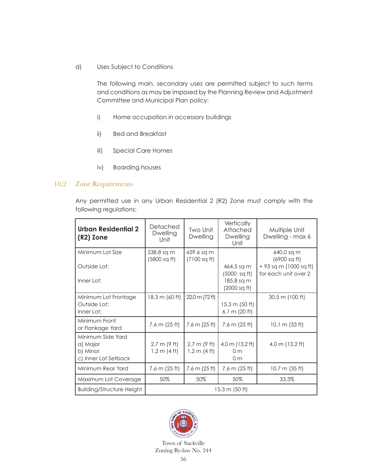d) Uses Subject to Conditions

 The following main, secondary uses are permitted subject to such terms and conditions as may be imposed by the Planning Review and Adjustment Committee and Municipal Plan policy:

- i) Home occupation in accessory buildings
- ii) Bed and Breakfast
- iii) Special Care Homes
- iv) Boarding houses

#### 10.2 Zone Requirements

 Any permitted use in any Urban Residential 2 (R2) Zone must comply with the following regulations:

| <b>Urban Residential 2</b><br>(R2) Zone                           | Detached<br><b>Dwelling</b><br>Unit              | Two Unit<br>Dwelling                   | Vertically<br>Attached<br><b>Dwelling</b><br>Unit                  | Multiple Unit<br>Dwelling - max 6                                            |
|-------------------------------------------------------------------|--------------------------------------------------|----------------------------------------|--------------------------------------------------------------------|------------------------------------------------------------------------------|
| Minimum Lot Size<br>Outside Lot:<br>Inner Lot:                    | 538.8 sq m<br>(5800 sq ft)                       | 659.6 sq m<br>$(7100 \text{ sq ft})$   | 464.5 sq m<br>$(5000 \text{ sq ft})$<br>185.8 sq m<br>(2000 sq ft) | 640.0 sq m<br>(6900 sq ft)<br>+ 93 sq m (1000 sq ft)<br>for each unit over 2 |
| Minimum Lot Frontage<br>Outside Lot:<br>Inner Lot:                | 18.3 m (60 ft)                                   | 22.0 m (72 ft)                         | 15.3 m (50 ft)<br>6.1 m $(20 ft)$                                  | 30.5 m (100 ft)                                                              |
| Minimum Front<br>or Flankage Yard                                 | $7.6 \text{ m}$ (25 ft)                          | $7.6 \text{ m}$ (25 ft)                | $7.6 \text{ m}$ (25 ft)                                            | 10.1 m $(33 ft)$                                                             |
| Minimum Side Yard<br>a) Major<br>b) Minor<br>c) Inner Lot Setback | $2.7 \text{ m}$ (9 ft)<br>$1.2 \text{ m}$ (4 ft) | $2.7 \text{ m}$ (9 ft)<br>1.2 m (4 ft) | 4.0 m (13.2 ft)<br>0 <sub>m</sub><br>0 <sub>m</sub>                | 4.0 m $(13.2 \text{ ft})$                                                    |
| Minimum Rear Yard                                                 | $7.6 \text{ m} (25 \text{ ft})$                  | $7.6 \text{ m}$ (25 ft)                | 7.6 m (25 ft)                                                      | 10.7 m $(35 ft)$                                                             |
| Maximum Lot Coverage                                              | 50%                                              | 50%                                    | 50%                                                                | 33.3%                                                                        |
| <b>Building/Structure Height</b>                                  | $15.3 \text{ m}$ (50 ft)                         |                                        |                                                                    |                                                                              |

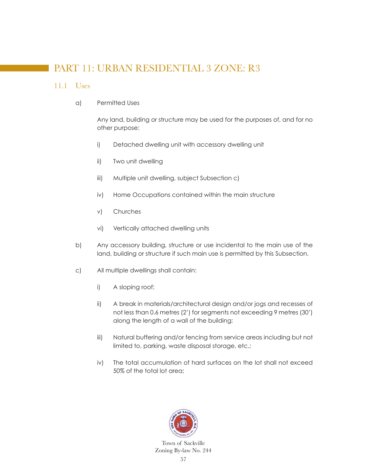# PART 11: URBAN RESIDENTIAL 3 ZONE: R3

#### 11.1 Uses

a) Permitted Uses

 Any land, building or structure may be used for the purposes of, and for no other purpose:

- i) Detached dwelling unit with accessory dwelling unit
- ii) Two unit dwelling
- iii) Multiple unit dwelling, subject Subsection c)
- iv) Home Occupations contained within the main structure
- v) Churches
- vi) Vertically attached dwelling units
- b) Any accessory building, structure or use incidental to the main use of the land, building or structure if such main use is permitted by this Subsection.
- c) All multiple dwellings shall contain:
	- i) A sloping roof;
	- ii) A break in materials/architectural design and/or jogs and recesses of not less than 0.6 metres (2') for segments not exceeding 9 metres (30') along the length of a wall of the building;
	- iii) Natural buffering and/or fencing from service areas including but not limited to, parking, waste disposal storage, etc.;
	- iv) The total accumulation of hard surfaces on the lot shall not exceed 50% of the total lot area;

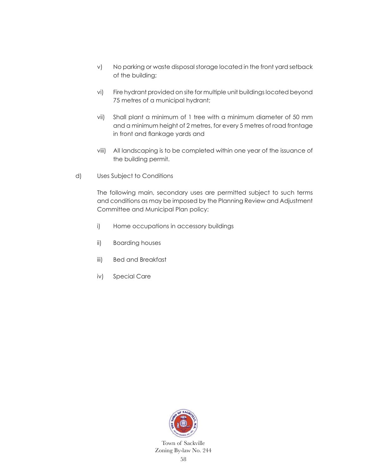- v) No parking or waste disposal storage located in the front yard setback of the building;
- vi) Fire hydrant provided on site for multiple unit buildings located beyond 75 metres of a municipal hydrant;
- vii) Shall plant a minimum of 1 tree with a minimum diameter of 50 mm and a minimum height of 2 metres, for every 5 metres of road frontage in front and flankage yards and
- viii) All landscaping is to be completed within one year of the issuance of the building permit.
- d) Uses Subject to Conditions

 The following main, secondary uses are permitted subject to such terms and conditions as may be imposed by the Planning Review and Adjustment Committee and Municipal Plan policy:

- i) Home occupations in accessory buildings
- ii) Boarding houses
- iii) Bed and Breakfast
- iv) Special Care

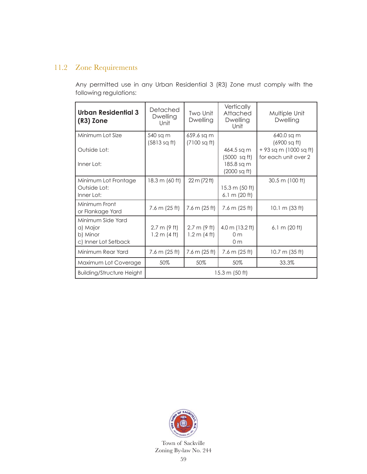### 11.2 Zone Requirements

 Any permitted use in any Urban Residential 3 (R3) Zone must comply with the following regulations:

| Urban Residential 3<br>(R3) Zone                                  | Detached<br>Dwelling<br>Unit           | Two Unit<br>Dwelling                   | Vertically<br>Attached<br><b>Dwelling</b><br>Unit                  | Multiple Unit<br>Dwelling                                                    |
|-------------------------------------------------------------------|----------------------------------------|----------------------------------------|--------------------------------------------------------------------|------------------------------------------------------------------------------|
| Minimum Lot Size<br>Outside Lot:<br>Inner Lot:                    | 540 sq m<br>(5813 sq ft)               | 659.6 sq m<br>(7100 sq ft)             | 464.5 sq m<br>$(5000 \text{ sq ft})$<br>185.8 sq m<br>(2000 sq ft) | 640.0 sq m<br>(6900 sq ft)<br>+ 93 sq m (1000 sq ft)<br>for each unit over 2 |
| Minimum Lot Frontage<br>Outside Lot:<br>Inner Lot:                | 18.3 m (60 ft)                         | 22 m (72 ft)                           | 15.3 m (50 ft)<br>$6.1 \text{ m}$ (20 ft)                          | 30.5 m (100 ft)                                                              |
| Minimum Front<br>or Flankage Yard                                 | $7.6 \text{ m}$ (25 ft)                | $7.6 \text{ m}$ (25 ft)                | 7.6 m (25 ft)                                                      | 10.1 m $(33 ft)$                                                             |
| Minimum Side Yard<br>a) Major<br>b) Minor<br>c) Inner Lot Setback | 2.7 m (9 ft)<br>$1.2 \text{ m}$ (4 ft) | 2.7 m (9 ft)<br>$1.2 \text{ m}$ (4 ft) | 4.0 m (13.2 ft)<br>0 <sub>m</sub><br>0 <sub>m</sub>                | 6.1 m $(20 ft)$                                                              |
| Minimum Rear Yard                                                 | $7.6 \text{ m}$ (25 ft)                | $7.6 \text{ m}$ (25 ft)                | $7.6 \text{ m}$ (25 ft)                                            | 10.7 m $(35 ft)$                                                             |
| Maximum Lot Coverage                                              | 50%                                    | 50%                                    | 50%                                                                | 33.3%                                                                        |
| <b>Building/Structure Height</b>                                  | $15.3 \text{ m}$ (50 ft)               |                                        |                                                                    |                                                                              |

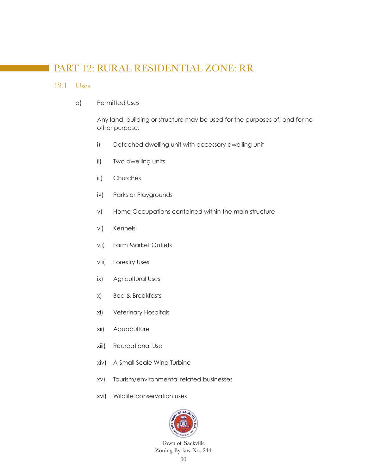# PART 12: RURAL RESIDENTIAL ZONE: RR

#### 12.1 Uses

a) Permitted Uses

 Any land, building or structure may be used for the purposes of, and for no other purpose:

- i) Detached dwelling unit with accessory dwelling unit
- ii) Two dwelling units
- iii) Churches
- iv) Parks or Playgrounds
- v) Home Occupations contained within the main structure
- vi) Kennels
- vii) Farm Market Outlets
- viii) Forestry Uses
- ix) Agricultural Uses
- x) Bed & Breakfasts
- xi) Veterinary Hospitals
- xii) Aquaculture
- xiii) Recreational Use
- xiv) A Small Scale Wind Turbine
- xv) Tourism/environmental related businesses
- xvi) Wildlife conservation uses

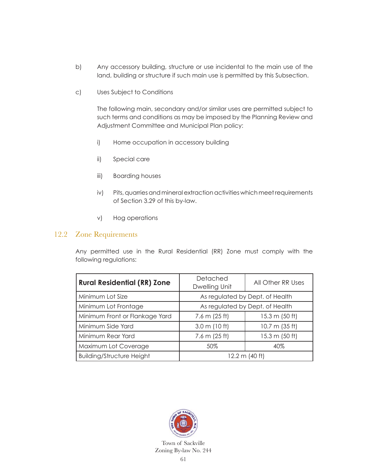- b) Any accessory building, structure or use incidental to the main use of the land, building or structure if such main use is permitted by this Subsection.
- c) Uses Subject to Conditions

 The following main, secondary and/or similar uses are permitted subject to such terms and conditions as may be imposed by the Planning Review and Adjustment Committee and Municipal Plan policy:

- i) Home occupation in accessory building
- ii) Special care
- iii) Boarding houses
- iv) Pits, quarries and mineral extraction activities which meet requirements of Section 3.29 of this by-law.
- v) Hog operations

#### 12.2 Zone Requirements

 Any permitted use in the Rural Residential (RR) Zone must comply with the following regulations:

| <b>Rural Residential (RR) Zone</b> | Detached<br>Dwelling Unit       | All Other RR Uses        |  |
|------------------------------------|---------------------------------|--------------------------|--|
| Minimum Lot Size                   | As regulated by Dept. of Health |                          |  |
| Minimum Lot Frontage               | As regulated by Dept. of Health |                          |  |
| Minimum Front or Flankage Yard     | 7.6 m $(25 ft)$                 | 15.3 m (50 ft)           |  |
| Minimum Side Yard                  | $3.0 \text{ m}$ (10 ft)         | $10.7 \text{ m}$ (35 ft) |  |
| Minimum Rear Yard                  | 7.6 m $(25 ft)$                 | 15.3 m (50 ft)           |  |
| Maximum Lot Coverage               | 50%                             | 40%                      |  |
| <b>Building/Structure Height</b>   | 12.2 m (40 ft)                  |                          |  |

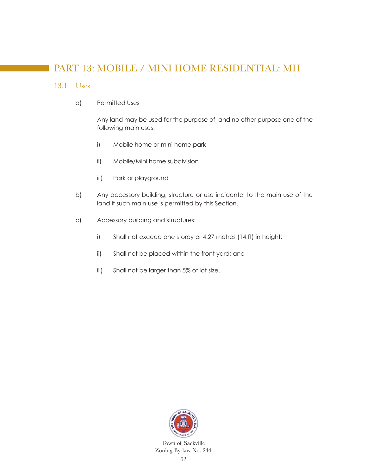# PART 13: MOBILE / MINI HOME RESIDENTIAL: MH

#### 13.1 Uses

a) Permitted Uses

 Any land may be used for the purpose of, and no other purpose one of the following main uses:

- i) Mobile home or mini home park
- ii) Mobile/Mini home subdivision
- iii) Park or playground
- b) Any accessory building, structure or use incidental to the main use of the land if such main use is permitted by this Section.
- c) Accessory building and structures:
	- i) Shall not exceed one storey or 4.27 metres (14 ft) in height;
	- ii) Shall not be placed within the front yard; and
	- iii) Shall not be larger than 5% of lot size.

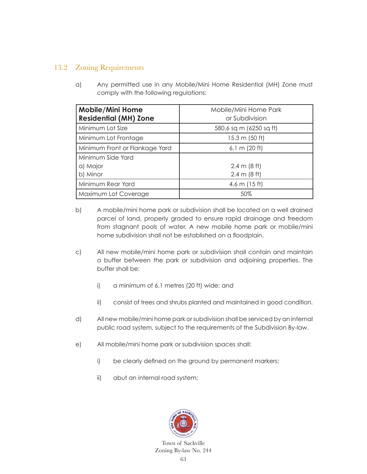## 13.2 Zoning Requirements

a) Any permitted use in any Mobile/Mini Home Residential (MH) Zone must comply with the following regulations:

| <b>Mobile/Mini Home</b><br><b>Residential (MH) Zone</b> | Mobile/Mini Home Park<br>or Subdivision |  |
|---------------------------------------------------------|-----------------------------------------|--|
| Minimum Lot Size                                        | 580.6 sq m (6250 sq ft)                 |  |
| Minimum Lot Frontage                                    | $15.3 \text{ m}$ (50 ft)                |  |
| Minimum Front or Flankage Yard                          | 6.1 m $(20 ft)$                         |  |
| Minimum Side Yard                                       |                                         |  |
| a) Major                                                | $2.4 \text{ m}$ (8 ft)                  |  |
| b) Minor                                                | $2.4 \text{ m}$ (8 ft)                  |  |
| Minimum Rear Yard                                       | 4.6 m $(15 ft)$                         |  |
| Maximum Lot Coverage                                    | 50%                                     |  |

- b) A mobile/mini home park or subdivision shall be located on a well drained parcel of land, properly graded to ensure rapid drainage and freedom from stagnant pools of water. A new mobile home park or mobile/mini home subdivision shall not be established on a floodplain.
- c) All new mobile/mini home park or subdivision shall contain and maintain a buffer between the park or subdivision and adjoining properties. The buffer shall be:
	- i) a minimum of 6.1 metres (20 ft) wide; and
	- ii) consist of trees and shrubs planted and maintained in good condition.
- d) All new mobile/mini home park or subdivision shall be serviced by an internal public road system, subject to the requirements of the Subdivision By-law.
- e) All mobile/mini home park or subdivision spaces shall:
	- i) be clearly defined on the ground by permanent markers;
	- ii) abut an internal road system;

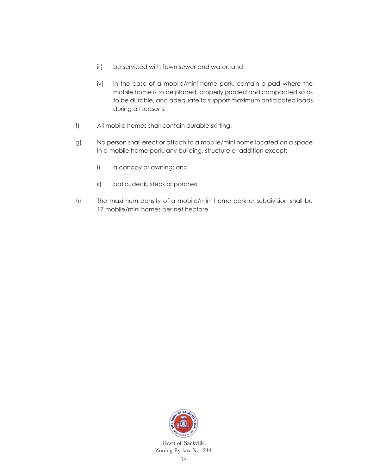- iii) be serviced with Town sewer and water; and
- iv) in the case of a mobile/mini home park, contain a pad where the mobile home is to be placed, properly graded and compacted so as to be durable, and adequate to support maximum anticipated loads during all seasons.
- f) All mobile homes shall contain durable skirting.
- g) No person shall erect or attach to a mobile/mini home located on a space in a mobile home park, any building, structure or addition except:
	- i) a canopy or awning; and
	- ii) patio, deck, steps or porches.
- h) The maximum density of a mobile/mini home park or subdivision shall be 17 mobile/mini homes per net hectare.

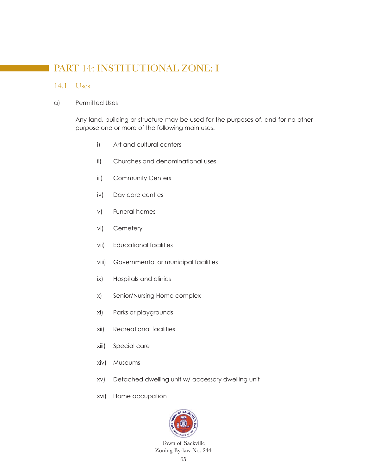# PART 14: INSTITUTIONAL ZONE: I

#### 14.1 Uses

#### a) Permitted Uses

 Any land, building or structure may be used for the purposes of, and for no other purpose one or more of the following main uses:

- i) Art and cultural centers
- ii) Churches and denominational uses
- iii) Community Centers
- iv) Day care centres
- v) Funeral homes
- vi) Cemetery
- vii) Educational facilities
- viii) Governmental or municipal facilities
- ix) Hospitals and clinics
- x) Senior/Nursing Home complex
- xi) Parks or playgrounds
- xii) Recreational facilities
- xiii) Special care
- xiv) Museums
- xv) Detached dwelling unit w/ accessory dwelling unit
- xvi) Home occupation

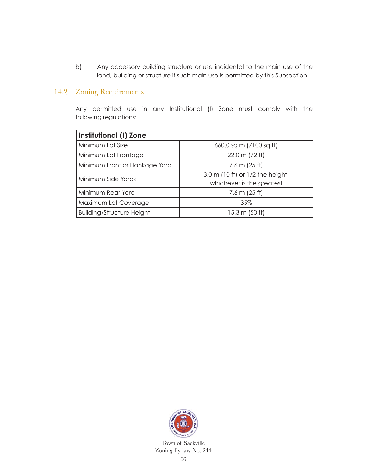b) Any accessory building structure or use incidental to the main use of the land, building or structure if such main use is permitted by this Subsection.

## 14.2 Zoning Requirements

 Any permitted use in any Institutional (I) Zone must comply with the following regulations:

| Institutional (I) Zone           |                                                               |  |  |  |
|----------------------------------|---------------------------------------------------------------|--|--|--|
| Minimum Lot Size                 | 660.0 sq m (7100 sq ft)                                       |  |  |  |
| Minimum Lot Frontage             | 22.0 m (72 ft)                                                |  |  |  |
| Minimum Front or Flankage Yard   | 7.6 m $(25 ft)$                                               |  |  |  |
| Minimum Side Yards               | 3.0 m (10 ft) or 1/2 the height,<br>whichever is the greatest |  |  |  |
| Minimum Rear Yard                | 7.6 m $(25 ft)$                                               |  |  |  |
| Maximum Lot Coverage             | 35%                                                           |  |  |  |
| <b>Building/Structure Height</b> | 15.3 m (50 ft)                                                |  |  |  |

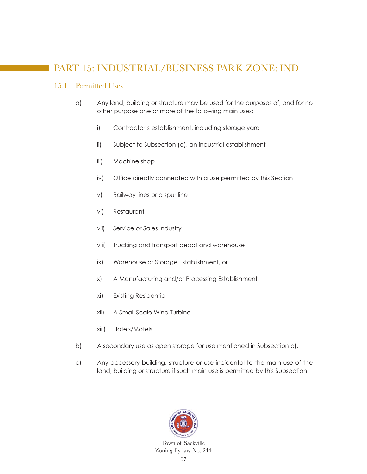# PART 15: INDUSTRIAL/BUSINESS PARK ZONE: IND

### 15.1 Permitted Uses

- a) Any land, building or structure may be used for the purposes of, and for no other purpose one or more of the following main uses:
	- i) Contractor's establishment, including storage yard
	- ii) Subject to Subsection (d), an industrial establishment
	- iii) Machine shop
	- iv) Office directly connected with a use permitted by this Section
	- v) Railway lines or a spur line
	- vi) Restaurant
	- vii) Service or Sales Industry
	- viii) Trucking and transport depot and warehouse
	- ix) Warehouse or Storage Establishment, or
	- x) A Manufacturing and/or Processing Establishment
	- xi) Existing Residential
	- xii) A Small Scale Wind Turbine
	- xiii) Hotels/Motels
- b) A secondary use as open storage for use mentioned in Subsection a).
- c) Any accessory building, structure or use incidental to the main use of the land, building or structure if such main use is permitted by this Subsection.

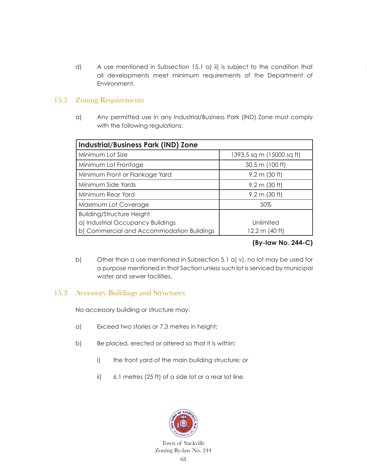d) A use mentioned in Subsection 15.1 a) ii) is subject to the condition that all developments meet minimum requirements of the Department of Environment.

## 15.2 Zoning Requirements

a) Any permitted use in any Industrial/Business Park (IND) Zone must comply with the following regulations:

| <b>Industrial/Business Park (IND) Zone</b> |                           |  |  |  |
|--------------------------------------------|---------------------------|--|--|--|
| Minimum Lot Size                           | 1393.5 sq m (15000 sq ft) |  |  |  |
| Minimum Lot Frontage                       | 30.5 m (100 ft)           |  |  |  |
| Minimum Front or Flankage Yard             | $9.2 \text{ m}$ (30 ft)   |  |  |  |
| Minimum Side Yards                         | $9.2 \text{ m}$ (30 ft)   |  |  |  |
| Minimum Rear Yard                          | $9.2 \text{ m}$ (30 ft)   |  |  |  |
| Maximum Lot Coverage                       | 50%                       |  |  |  |
| <b>Building/Structure Height</b>           |                           |  |  |  |
| a) Industrial Occupancy Buildings          | Unlimited                 |  |  |  |
| b) Commercial and Accommodation Buildings  | 12.2 m (40 ft)            |  |  |  |

### **(By-law No. 244-C)**

b) Other than a use mentioned in Subsection 5.1 a) v), no lot may be used for a purpose mentioned in that Section unless such lot is serviced by municipal water and sewer facilities.

## 15.3 Accessory Buildings and Structures

No accessory building or structure may:

- a) Exceed two stories or 7.3 metres in height;
- b) Be placed, erected or altered so that it is within:
	- i) the front yard of the main building structure; or
	- ii) 6.1 metres (25 ft) of a side lot or a rear lot line.

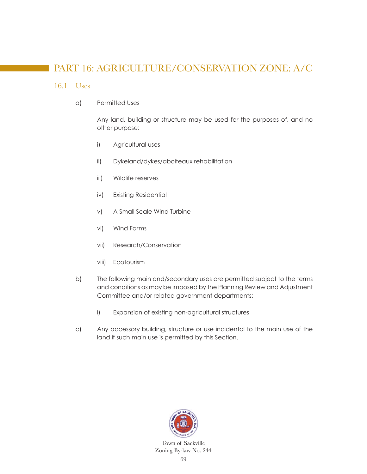# PART 16: AGRICULTURE/CONSERVATION ZONE: A/C

#### 16.1 Uses

a) Permitted Uses

 Any land, building or structure may be used for the purposes of, and no other purpose:

- i) Agricultural uses
- ii) Dykeland/dykes/aboiteaux rehabilitation
- iii) Wildlife reserves
- iv) Existing Residential
- v) A Small Scale Wind Turbine
- vi) Wind Farms
- vii) Research/Conservation
- viii) Ecotourism
- b) The following main and/secondary uses are permitted subject to the terms and conditions as may be imposed by the Planning Review and Adjustment Committee and/or related government departments:
	- i) Expansion of existing non-agricultural structures
- c) Any accessory building, structure or use incidental to the main use of the land if such main use is permitted by this Section.

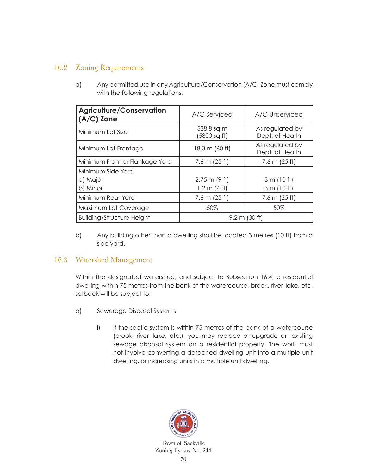## 16.2 Zoning Requirements

a) Any permitted use in any Agriculture/Conservation (A/C) Zone must comply with the following regulations:

| <b>Agriculture/Conservation</b><br>$(A/C)$ Zone | A/C Serviced               | A/C Unserviced                     |  |
|-------------------------------------------------|----------------------------|------------------------------------|--|
| Minimum Lot Size                                | 538.8 sq m<br>(5800 sq ft) | As regulated by<br>Dept. of Health |  |
| Minimum Lot Frontage                            | 18.3 m (60 ft)             | As regulated by<br>Dept. of Health |  |
| Minimum Front or Flankage Yard                  | 7.6 m $(25 ft)$            | 7.6 m $(25 ft)$                    |  |
| Minimum Side Yard                               |                            |                                    |  |
| a) Major                                        | $2.75$ m (9 ft)            | 3 m (10 ft)                        |  |
| b) Minor                                        | 1.2 m (4 ft)               | 3 m (10 ft)                        |  |
| Minimum Rear Yard                               | 7.6 m $(25 ft)$            | 7.6 m $(25 ft)$                    |  |
| Maximum Lot Coverage                            | 50%                        | 50%                                |  |
| <b>Building/Structure Height</b>                | $9.2 \text{ m}$ (30 ft)    |                                    |  |

b) Any building other than a dwelling shall be located 3 metres (10 ft) from a side yard.

## 16.3 Watershed Management

 Within the designated watershed, and subject to Subsection 16.4, a residential dwelling within 75 metres from the bank of the watercourse, brook, river, lake, etc. setback will be subject to:

- a) Sewerage Disposal Systems
	- i) If the septic system is within 75 metres of the bank of a watercourse (brook, river, lake, etc.), you may replace or upgrade an existing sewage disposal system on a residential property. The work must not involve converting a detached dwelling unit into a multiple unit dwelling, or increasing units in a multiple unit dwelling.